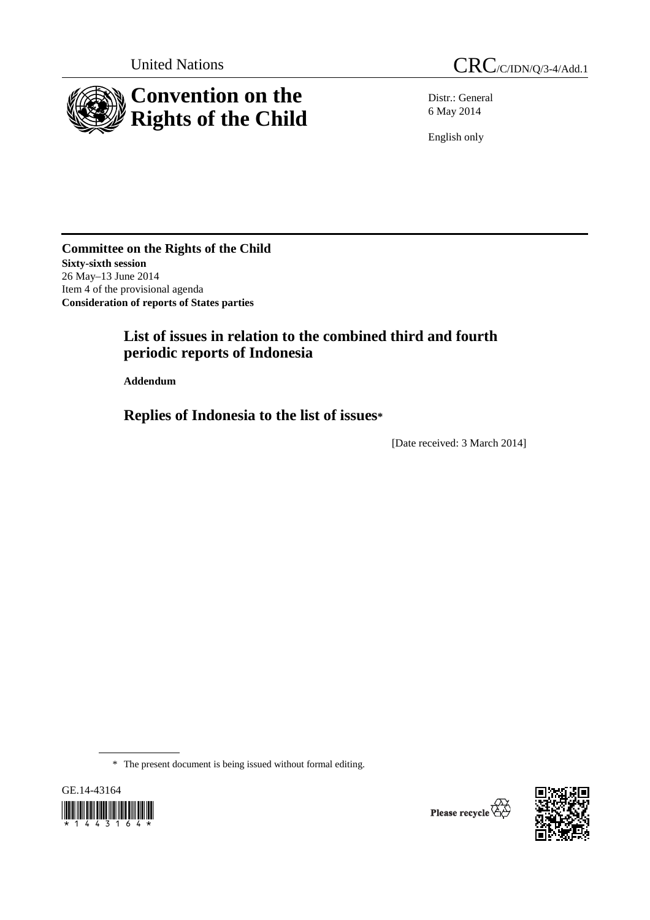

Distr.: General 6 May 2014

English only

**Committee on the Rights of the Child Sixty-sixth session**  26 May–13 June 2014 Item 4 of the provisional agenda **Consideration of reports of States parties** 

# **List of issues in relation to the combined third and fourth periodic reports of Indonesia**

 **Addendum** 

 **Replies of Indonesia to the list of issues\***

[Date received: 3 March 2014]

\* The present document is being issued without formal editing.



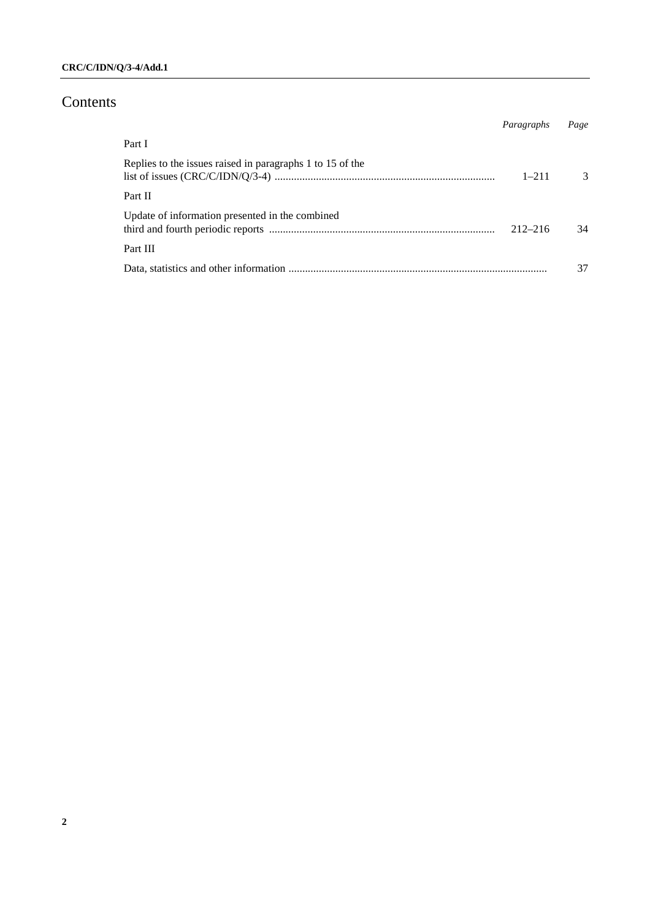# Contents

|                                                           | Paragraphs  | Page |
|-----------------------------------------------------------|-------------|------|
| Part I                                                    |             |      |
| Replies to the issues raised in paragraphs 1 to 15 of the | $1 - 211$   | 3    |
| Part II                                                   |             |      |
| Update of information presented in the combined           | $212 - 216$ | 34   |
| Part III                                                  |             |      |
|                                                           |             |      |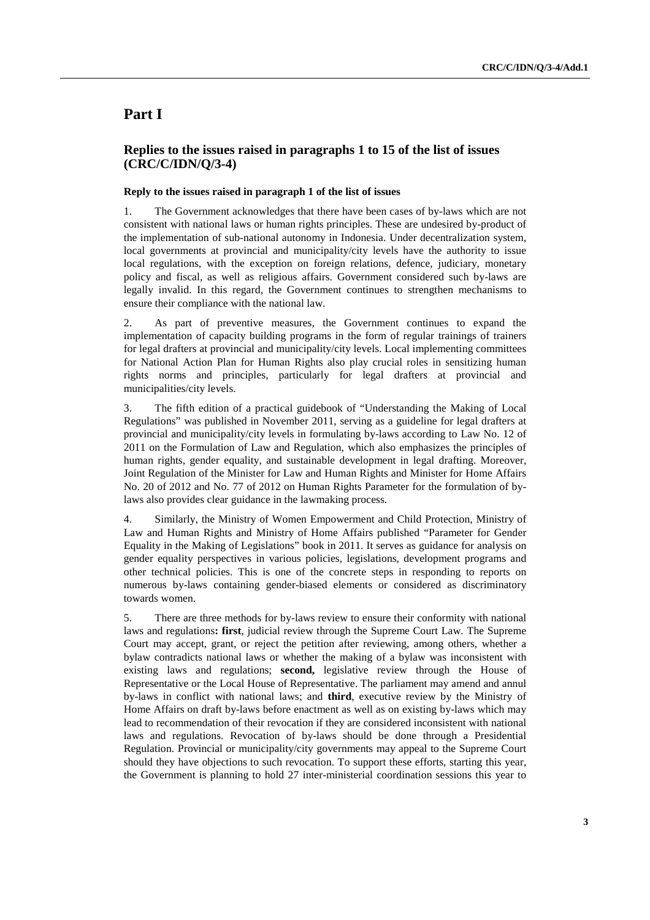# **Part I**

## **Replies to the issues raised in paragraphs 1 to 15 of the list of issues (CRC/C/IDN/Q/3-4)**

#### **Reply to the issues raised in paragraph 1 of the list of issues**

1. The Government acknowledges that there have been cases of by-laws which are not consistent with national laws or human rights principles. These are undesired by-product of the implementation of sub-national autonomy in Indonesia. Under decentralization system, local governments at provincial and municipality/city levels have the authority to issue local regulations, with the exception on foreign relations, defence, judiciary, monetary policy and fiscal, as well as religious affairs. Government considered such by-laws are legally invalid. In this regard, the Government continues to strengthen mechanisms to ensure their compliance with the national law.

2. As part of preventive measures, the Government continues to expand the implementation of capacity building programs in the form of regular trainings of trainers for legal drafters at provincial and municipality/city levels. Local implementing committees for National Action Plan for Human Rights also play crucial roles in sensitizing human rights norms and principles, particularly for legal drafters at provincial and municipalities/city levels.

3. The fifth edition of a practical guidebook of "Understanding the Making of Local Regulations" was published in November 2011, serving as a guideline for legal drafters at provincial and municipality/city levels in formulating by-laws according to Law No. 12 of 2011 on the Formulation of Law and Regulation, which also emphasizes the principles of human rights, gender equality, and sustainable development in legal drafting. Moreover, Joint Regulation of the Minister for Law and Human Rights and Minister for Home Affairs No. 20 of 2012 and No. 77 of 2012 on Human Rights Parameter for the formulation of bylaws also provides clear guidance in the lawmaking process.

4. Similarly, the Ministry of Women Empowerment and Child Protection, Ministry of Law and Human Rights and Ministry of Home Affairs published "Parameter for Gender Equality in the Making of Legislations" book in 2011. It serves as guidance for analysis on gender equality perspectives in various policies, legislations, development programs and other technical policies. This is one of the concrete steps in responding to reports on numerous by-laws containing gender-biased elements or considered as discriminatory towards women.

5. There are three methods for by-laws review to ensure their conformity with national laws and regulations**: first**, judicial review through the Supreme Court Law. The Supreme Court may accept, grant, or reject the petition after reviewing, among others, whether a bylaw contradicts national laws or whether the making of a bylaw was inconsistent with existing laws and regulations; **second,** legislative review through the House of Representative or the Local House of Representative. The parliament may amend and annul by-laws in conflict with national laws; and **third**, executive review by the Ministry of Home Affairs on draft by-laws before enactment as well as on existing by-laws which may lead to recommendation of their revocation if they are considered inconsistent with national laws and regulations. Revocation of by-laws should be done through a Presidential Regulation. Provincial or municipality/city governments may appeal to the Supreme Court should they have objections to such revocation. To support these efforts, starting this year, the Government is planning to hold 27 inter-ministerial coordination sessions this year to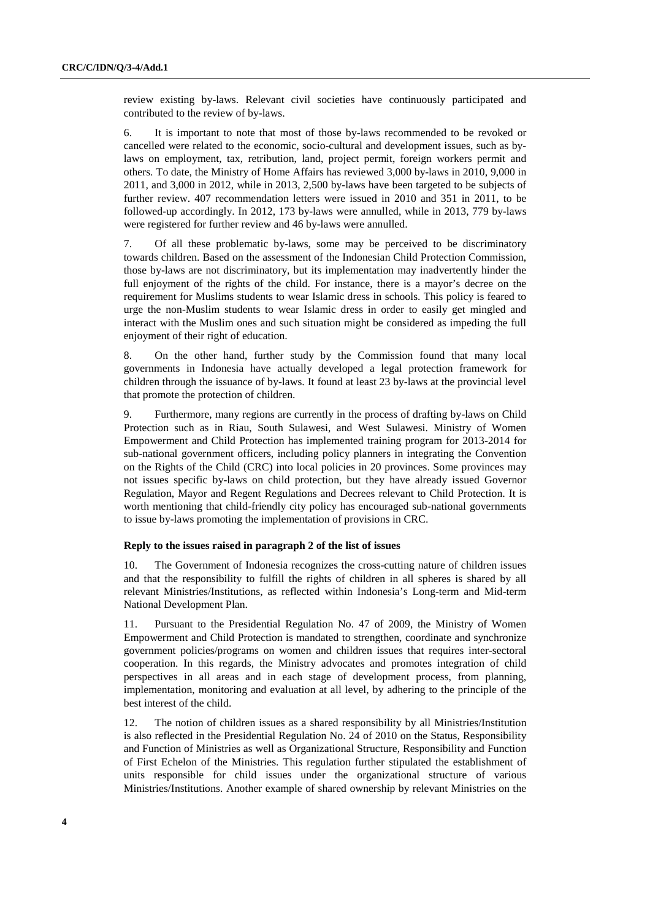review existing by-laws. Relevant civil societies have continuously participated and contributed to the review of by-laws.

6. It is important to note that most of those by-laws recommended to be revoked or cancelled were related to the economic, socio-cultural and development issues, such as bylaws on employment, tax, retribution, land, project permit, foreign workers permit and others. To date, the Ministry of Home Affairs has reviewed 3,000 by-laws in 2010, 9,000 in 2011, and 3,000 in 2012, while in 2013, 2,500 by-laws have been targeted to be subjects of further review. 407 recommendation letters were issued in 2010 and 351 in 2011, to be followed-up accordingly. In 2012, 173 by-laws were annulled, while in 2013, 779 by-laws were registered for further review and 46 by-laws were annulled.

7. Of all these problematic by-laws, some may be perceived to be discriminatory towards children. Based on the assessment of the Indonesian Child Protection Commission, those by-laws are not discriminatory, but its implementation may inadvertently hinder the full enjoyment of the rights of the child. For instance, there is a mayor's decree on the requirement for Muslims students to wear Islamic dress in schools. This policy is feared to urge the non-Muslim students to wear Islamic dress in order to easily get mingled and interact with the Muslim ones and such situation might be considered as impeding the full enjoyment of their right of education.

8. On the other hand, further study by the Commission found that many local governments in Indonesia have actually developed a legal protection framework for children through the issuance of by-laws. It found at least 23 by-laws at the provincial level that promote the protection of children.

9. Furthermore, many regions are currently in the process of drafting by-laws on Child Protection such as in Riau, South Sulawesi, and West Sulawesi. Ministry of Women Empowerment and Child Protection has implemented training program for 2013-2014 for sub-national government officers, including policy planners in integrating the Convention on the Rights of the Child (CRC) into local policies in 20 provinces. Some provinces may not issues specific by-laws on child protection, but they have already issued Governor Regulation, Mayor and Regent Regulations and Decrees relevant to Child Protection. It is worth mentioning that child-friendly city policy has encouraged sub-national governments to issue by-laws promoting the implementation of provisions in CRC.

#### **Reply to the issues raised in paragraph 2 of the list of issues**

10. The Government of Indonesia recognizes the cross-cutting nature of children issues and that the responsibility to fulfill the rights of children in all spheres is shared by all relevant Ministries/Institutions, as reflected within Indonesia's Long-term and Mid-term National Development Plan.

11. Pursuant to the Presidential Regulation No. 47 of 2009, the Ministry of Women Empowerment and Child Protection is mandated to strengthen, coordinate and synchronize government policies/programs on women and children issues that requires inter-sectoral cooperation. In this regards, the Ministry advocates and promotes integration of child perspectives in all areas and in each stage of development process, from planning, implementation, monitoring and evaluation at all level, by adhering to the principle of the best interest of the child.

12. The notion of children issues as a shared responsibility by all Ministries/Institution is also reflected in the Presidential Regulation No. 24 of 2010 on the Status, Responsibility and Function of Ministries as well as Organizational Structure, Responsibility and Function of First Echelon of the Ministries. This regulation further stipulated the establishment of units responsible for child issues under the organizational structure of various Ministries/Institutions. Another example of shared ownership by relevant Ministries on the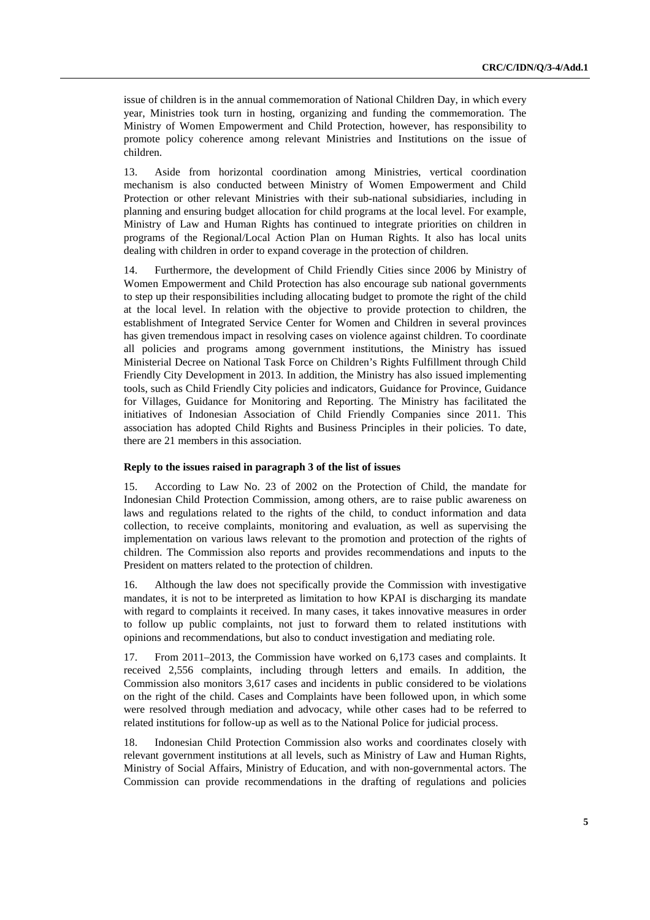issue of children is in the annual commemoration of National Children Day, in which every year, Ministries took turn in hosting, organizing and funding the commemoration. The Ministry of Women Empowerment and Child Protection, however, has responsibility to promote policy coherence among relevant Ministries and Institutions on the issue of children.

13. Aside from horizontal coordination among Ministries, vertical coordination mechanism is also conducted between Ministry of Women Empowerment and Child Protection or other relevant Ministries with their sub-national subsidiaries, including in planning and ensuring budget allocation for child programs at the local level. For example, Ministry of Law and Human Rights has continued to integrate priorities on children in programs of the Regional/Local Action Plan on Human Rights. It also has local units dealing with children in order to expand coverage in the protection of children.

14. Furthermore, the development of Child Friendly Cities since 2006 by Ministry of Women Empowerment and Child Protection has also encourage sub national governments to step up their responsibilities including allocating budget to promote the right of the child at the local level. In relation with the objective to provide protection to children, the establishment of Integrated Service Center for Women and Children in several provinces has given tremendous impact in resolving cases on violence against children. To coordinate all policies and programs among government institutions, the Ministry has issued Ministerial Decree on National Task Force on Children's Rights Fulfillment through Child Friendly City Development in 2013. In addition, the Ministry has also issued implementing tools, such as Child Friendly City policies and indicators, Guidance for Province, Guidance for Villages, Guidance for Monitoring and Reporting. The Ministry has facilitated the initiatives of Indonesian Association of Child Friendly Companies since 2011. This association has adopted Child Rights and Business Principles in their policies. To date, there are 21 members in this association.

#### **Reply to the issues raised in paragraph 3 of the list of issues**

15. According to Law No. 23 of 2002 on the Protection of Child, the mandate for Indonesian Child Protection Commission, among others, are to raise public awareness on laws and regulations related to the rights of the child, to conduct information and data collection, to receive complaints, monitoring and evaluation, as well as supervising the implementation on various laws relevant to the promotion and protection of the rights of children. The Commission also reports and provides recommendations and inputs to the President on matters related to the protection of children.

16. Although the law does not specifically provide the Commission with investigative mandates, it is not to be interpreted as limitation to how KPAI is discharging its mandate with regard to complaints it received. In many cases, it takes innovative measures in order to follow up public complaints, not just to forward them to related institutions with opinions and recommendations, but also to conduct investigation and mediating role.

17. From 2011–2013, the Commission have worked on 6,173 cases and complaints. It received 2,556 complaints, including through letters and emails. In addition, the Commission also monitors 3,617 cases and incidents in public considered to be violations on the right of the child. Cases and Complaints have been followed upon, in which some were resolved through mediation and advocacy, while other cases had to be referred to related institutions for follow-up as well as to the National Police for judicial process.

18. Indonesian Child Protection Commission also works and coordinates closely with relevant government institutions at all levels, such as Ministry of Law and Human Rights, Ministry of Social Affairs, Ministry of Education, and with non-governmental actors. The Commission can provide recommendations in the drafting of regulations and policies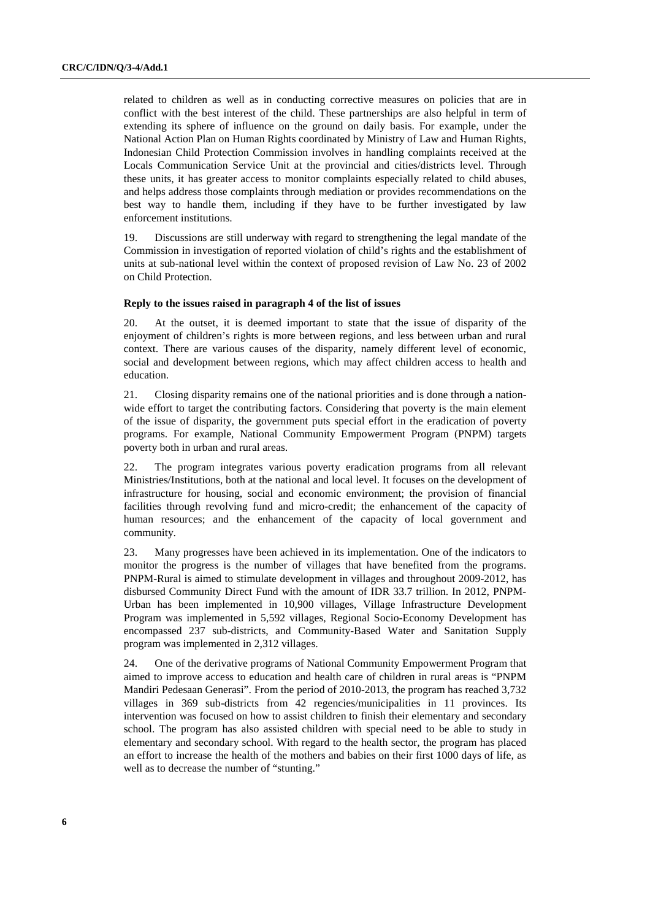related to children as well as in conducting corrective measures on policies that are in conflict with the best interest of the child. These partnerships are also helpful in term of extending its sphere of influence on the ground on daily basis. For example, under the National Action Plan on Human Rights coordinated by Ministry of Law and Human Rights, Indonesian Child Protection Commission involves in handling complaints received at the Locals Communication Service Unit at the provincial and cities/districts level. Through these units, it has greater access to monitor complaints especially related to child abuses, and helps address those complaints through mediation or provides recommendations on the best way to handle them, including if they have to be further investigated by law enforcement institutions.

19. Discussions are still underway with regard to strengthening the legal mandate of the Commission in investigation of reported violation of child's rights and the establishment of units at sub-national level within the context of proposed revision of Law No. 23 of 2002 on Child Protection.

#### **Reply to the issues raised in paragraph 4 of the list of issues**

20. At the outset, it is deemed important to state that the issue of disparity of the enjoyment of children's rights is more between regions, and less between urban and rural context. There are various causes of the disparity, namely different level of economic, social and development between regions, which may affect children access to health and education.

21. Closing disparity remains one of the national priorities and is done through a nationwide effort to target the contributing factors. Considering that poverty is the main element of the issue of disparity, the government puts special effort in the eradication of poverty programs. For example, National Community Empowerment Program (PNPM) targets poverty both in urban and rural areas.

22. The program integrates various poverty eradication programs from all relevant Ministries/Institutions, both at the national and local level. It focuses on the development of infrastructure for housing, social and economic environment; the provision of financial facilities through revolving fund and micro-credit; the enhancement of the capacity of human resources; and the enhancement of the capacity of local government and community.

23. Many progresses have been achieved in its implementation. One of the indicators to monitor the progress is the number of villages that have benefited from the programs. PNPM-Rural is aimed to stimulate development in villages and throughout 2009-2012, has disbursed Community Direct Fund with the amount of IDR 33.7 trillion. In 2012, PNPM-Urban has been implemented in 10,900 villages, Village Infrastructure Development Program was implemented in 5,592 villages, Regional Socio-Economy Development has encompassed 237 sub-districts, and Community-Based Water and Sanitation Supply program was implemented in 2,312 villages.

24. One of the derivative programs of National Community Empowerment Program that aimed to improve access to education and health care of children in rural areas is "PNPM Mandiri Pedesaan Generasi". From the period of 2010-2013, the program has reached 3,732 villages in 369 sub-districts from 42 regencies/municipalities in 11 provinces. Its intervention was focused on how to assist children to finish their elementary and secondary school. The program has also assisted children with special need to be able to study in elementary and secondary school. With regard to the health sector, the program has placed an effort to increase the health of the mothers and babies on their first 1000 days of life, as well as to decrease the number of "stunting."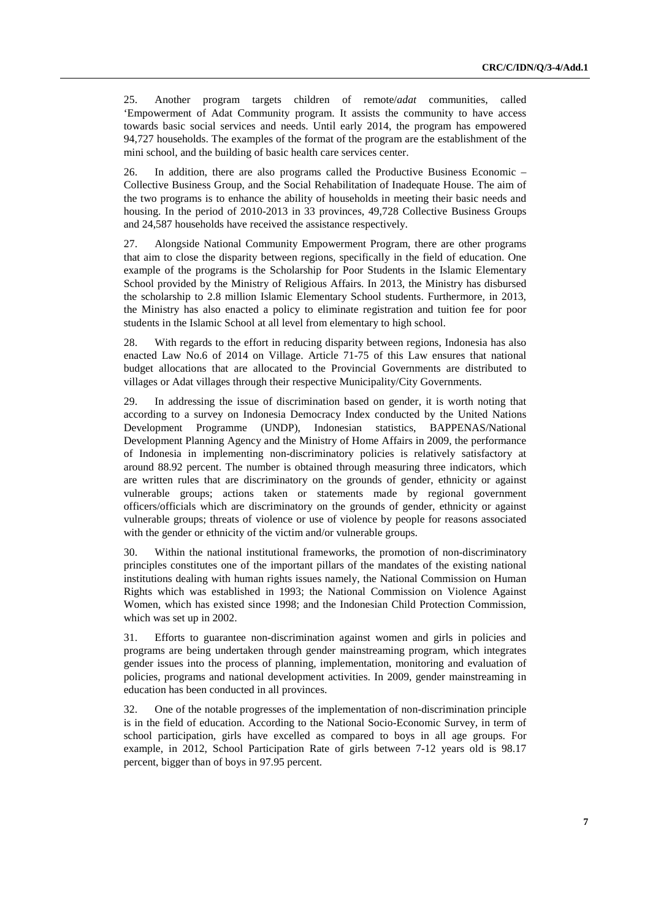25. Another program targets children of remote/*adat* communities, called 'Empowerment of Adat Community program. It assists the community to have access towards basic social services and needs. Until early 2014, the program has empowered 94,727 households. The examples of the format of the program are the establishment of the mini school, and the building of basic health care services center.

26. In addition, there are also programs called the Productive Business Economic – Collective Business Group, and the Social Rehabilitation of Inadequate House. The aim of the two programs is to enhance the ability of households in meeting their basic needs and housing. In the period of 2010-2013 in 33 provinces, 49,728 Collective Business Groups and 24,587 households have received the assistance respectively.

27. Alongside National Community Empowerment Program, there are other programs that aim to close the disparity between regions, specifically in the field of education. One example of the programs is the Scholarship for Poor Students in the Islamic Elementary School provided by the Ministry of Religious Affairs. In 2013, the Ministry has disbursed the scholarship to 2.8 million Islamic Elementary School students. Furthermore, in 2013, the Ministry has also enacted a policy to eliminate registration and tuition fee for poor students in the Islamic School at all level from elementary to high school.

28. With regards to the effort in reducing disparity between regions, Indonesia has also enacted Law No.6 of 2014 on Village. Article 71-75 of this Law ensures that national budget allocations that are allocated to the Provincial Governments are distributed to villages or Adat villages through their respective Municipality/City Governments.

29. In addressing the issue of discrimination based on gender, it is worth noting that according to a survey on Indonesia Democracy Index conducted by the United Nations Development Programme (UNDP), Indonesian statistics, BAPPENAS/National Development Planning Agency and the Ministry of Home Affairs in 2009, the performance of Indonesia in implementing non-discriminatory policies is relatively satisfactory at around 88.92 percent. The number is obtained through measuring three indicators, which are written rules that are discriminatory on the grounds of gender, ethnicity or against vulnerable groups; actions taken or statements made by regional government officers/officials which are discriminatory on the grounds of gender, ethnicity or against vulnerable groups; threats of violence or use of violence by people for reasons associated with the gender or ethnicity of the victim and/or vulnerable groups.

30. Within the national institutional frameworks, the promotion of non-discriminatory principles constitutes one of the important pillars of the mandates of the existing national institutions dealing with human rights issues namely, the National Commission on Human Rights which was established in 1993; the National Commission on Violence Against Women, which has existed since 1998; and the Indonesian Child Protection Commission, which was set up in 2002.

31. Efforts to guarantee non-discrimination against women and girls in policies and programs are being undertaken through gender mainstreaming program, which integrates gender issues into the process of planning, implementation, monitoring and evaluation of policies, programs and national development activities. In 2009, gender mainstreaming in education has been conducted in all provinces.

32. One of the notable progresses of the implementation of non-discrimination principle is in the field of education. According to the National Socio-Economic Survey, in term of school participation, girls have excelled as compared to boys in all age groups. For example, in 2012, School Participation Rate of girls between 7-12 years old is 98.17 percent, bigger than of boys in 97.95 percent.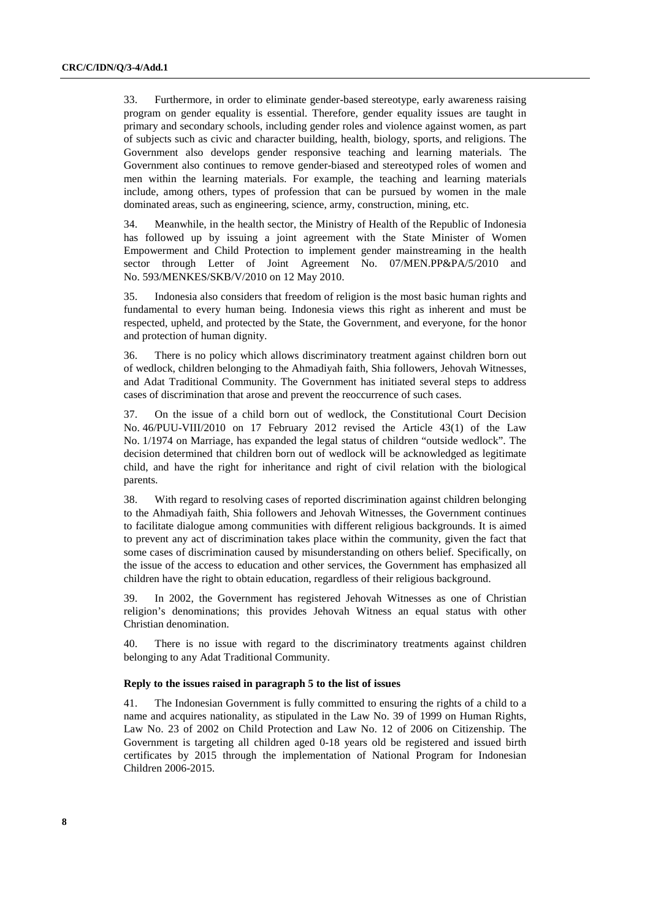33. Furthermore, in order to eliminate gender-based stereotype, early awareness raising program on gender equality is essential. Therefore, gender equality issues are taught in primary and secondary schools, including gender roles and violence against women, as part of subjects such as civic and character building, health, biology, sports, and religions. The Government also develops gender responsive teaching and learning materials. The Government also continues to remove gender-biased and stereotyped roles of women and men within the learning materials. For example, the teaching and learning materials include, among others, types of profession that can be pursued by women in the male dominated areas, such as engineering, science, army, construction, mining, etc.

34. Meanwhile, in the health sector, the Ministry of Health of the Republic of Indonesia has followed up by issuing a joint agreement with the State Minister of Women Empowerment and Child Protection to implement gender mainstreaming in the health sector through Letter of Joint Agreement No. 07/MEN.PP&PA/5/2010 and No. 593/MENKES/SKB/V/2010 on 12 May 2010.

35. Indonesia also considers that freedom of religion is the most basic human rights and fundamental to every human being. Indonesia views this right as inherent and must be respected, upheld, and protected by the State, the Government, and everyone, for the honor and protection of human dignity.

36. There is no policy which allows discriminatory treatment against children born out of wedlock, children belonging to the Ahmadiyah faith, Shia followers, Jehovah Witnesses, and Adat Traditional Community. The Government has initiated several steps to address cases of discrimination that arose and prevent the reoccurrence of such cases.

37. On the issue of a child born out of wedlock, the Constitutional Court Decision No. 46/PUU-VIII/2010 on 17 February 2012 revised the Article 43(1) of the Law No. 1/1974 on Marriage, has expanded the legal status of children "outside wedlock". The decision determined that children born out of wedlock will be acknowledged as legitimate child, and have the right for inheritance and right of civil relation with the biological parents.

38. With regard to resolving cases of reported discrimination against children belonging to the Ahmadiyah faith, Shia followers and Jehovah Witnesses, the Government continues to facilitate dialogue among communities with different religious backgrounds. It is aimed to prevent any act of discrimination takes place within the community, given the fact that some cases of discrimination caused by misunderstanding on others belief. Specifically, on the issue of the access to education and other services, the Government has emphasized all children have the right to obtain education, regardless of their religious background.

39. In 2002, the Government has registered Jehovah Witnesses as one of Christian religion's denominations; this provides Jehovah Witness an equal status with other Christian denomination.

40. There is no issue with regard to the discriminatory treatments against children belonging to any Adat Traditional Community.

#### **Reply to the issues raised in paragraph 5 to the list of issues**

41. The Indonesian Government is fully committed to ensuring the rights of a child to a name and acquires nationality, as stipulated in the Law No. 39 of 1999 on Human Rights, Law No. 23 of 2002 on Child Protection and Law No. 12 of 2006 on Citizenship. The Government is targeting all children aged 0-18 years old be registered and issued birth certificates by 2015 through the implementation of National Program for Indonesian Children 2006-2015.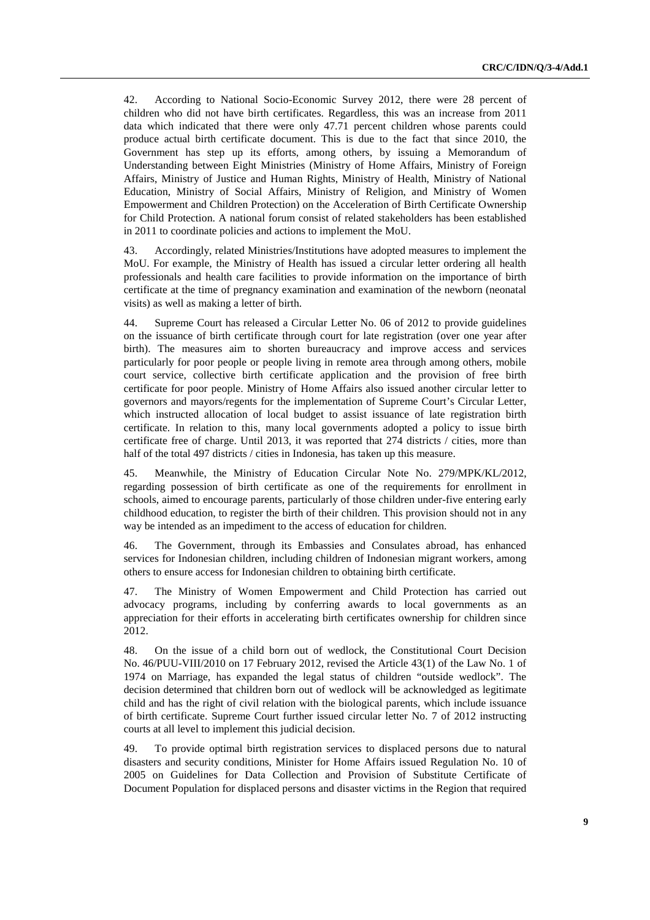42. According to National Socio-Economic Survey 2012, there were 28 percent of children who did not have birth certificates. Regardless, this was an increase from 2011 data which indicated that there were only 47.71 percent children whose parents could produce actual birth certificate document. This is due to the fact that since 2010, the Government has step up its efforts, among others, by issuing a Memorandum of Understanding between Eight Ministries (Ministry of Home Affairs, Ministry of Foreign Affairs, Ministry of Justice and Human Rights, Ministry of Health, Ministry of National Education, Ministry of Social Affairs, Ministry of Religion, and Ministry of Women Empowerment and Children Protection) on the Acceleration of Birth Certificate Ownership for Child Protection. A national forum consist of related stakeholders has been established in 2011 to coordinate policies and actions to implement the MoU.

43. Accordingly, related Ministries/Institutions have adopted measures to implement the MoU. For example, the Ministry of Health has issued a circular letter ordering all health professionals and health care facilities to provide information on the importance of birth certificate at the time of pregnancy examination and examination of the newborn (neonatal visits) as well as making a letter of birth.

44. Supreme Court has released a Circular Letter No. 06 of 2012 to provide guidelines on the issuance of birth certificate through court for late registration (over one year after birth). The measures aim to shorten bureaucracy and improve access and services particularly for poor people or people living in remote area through among others, mobile court service, collective birth certificate application and the provision of free birth certificate for poor people. Ministry of Home Affairs also issued another circular letter to governors and mayors/regents for the implementation of Supreme Court's Circular Letter, which instructed allocation of local budget to assist issuance of late registration birth certificate. In relation to this, many local governments adopted a policy to issue birth certificate free of charge. Until 2013, it was reported that 274 districts / cities, more than half of the total 497 districts / cities in Indonesia, has taken up this measure.

45. Meanwhile, the Ministry of Education Circular Note No. 279/MPK/KL/2012, regarding possession of birth certificate as one of the requirements for enrollment in schools, aimed to encourage parents, particularly of those children under-five entering early childhood education, to register the birth of their children. This provision should not in any way be intended as an impediment to the access of education for children.

46. The Government, through its Embassies and Consulates abroad, has enhanced services for Indonesian children, including children of Indonesian migrant workers, among others to ensure access for Indonesian children to obtaining birth certificate.

47. The Ministry of Women Empowerment and Child Protection has carried out advocacy programs, including by conferring awards to local governments as an appreciation for their efforts in accelerating birth certificates ownership for children since 2012.

48. On the issue of a child born out of wedlock, the Constitutional Court Decision No. 46/PUU-VIII/2010 on 17 February 2012, revised the Article 43(1) of the Law No. 1 of 1974 on Marriage, has expanded the legal status of children "outside wedlock". The decision determined that children born out of wedlock will be acknowledged as legitimate child and has the right of civil relation with the biological parents, which include issuance of birth certificate. Supreme Court further issued circular letter No. 7 of 2012 instructing courts at all level to implement this judicial decision.

49. To provide optimal birth registration services to displaced persons due to natural disasters and security conditions, Minister for Home Affairs issued Regulation No. 10 of 2005 on Guidelines for Data Collection and Provision of Substitute Certificate of Document Population for displaced persons and disaster victims in the Region that required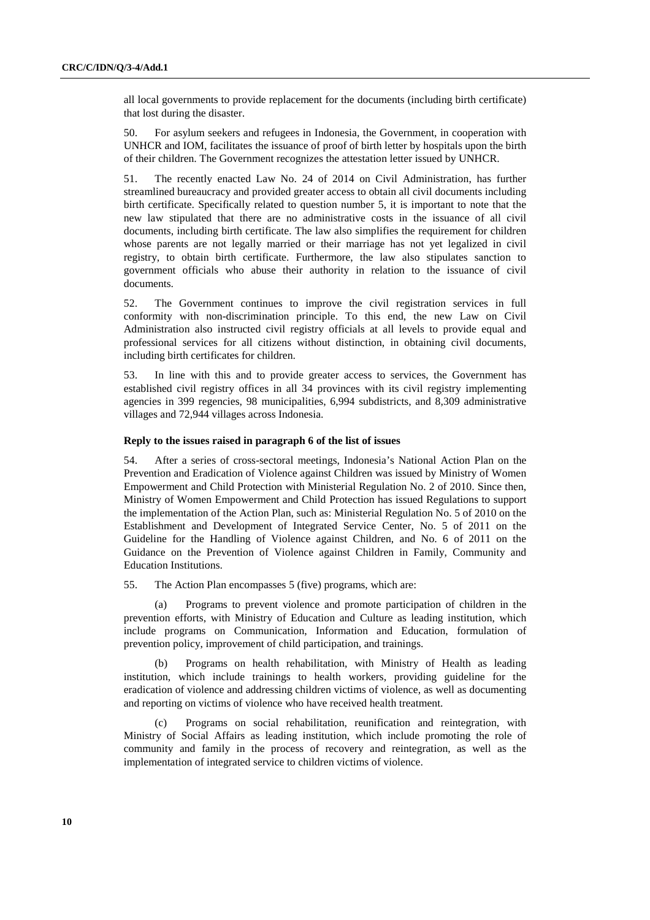all local governments to provide replacement for the documents (including birth certificate) that lost during the disaster.

50. For asylum seekers and refugees in Indonesia, the Government, in cooperation with UNHCR and IOM, facilitates the issuance of proof of birth letter by hospitals upon the birth of their children. The Government recognizes the attestation letter issued by UNHCR.

51. The recently enacted Law No. 24 of 2014 on Civil Administration, has further streamlined bureaucracy and provided greater access to obtain all civil documents including birth certificate. Specifically related to question number 5, it is important to note that the new law stipulated that there are no administrative costs in the issuance of all civil documents, including birth certificate. The law also simplifies the requirement for children whose parents are not legally married or their marriage has not yet legalized in civil registry, to obtain birth certificate. Furthermore, the law also stipulates sanction to government officials who abuse their authority in relation to the issuance of civil documents.

52. The Government continues to improve the civil registration services in full conformity with non-discrimination principle. To this end, the new Law on Civil Administration also instructed civil registry officials at all levels to provide equal and professional services for all citizens without distinction, in obtaining civil documents, including birth certificates for children.

53. In line with this and to provide greater access to services, the Government has established civil registry offices in all 34 provinces with its civil registry implementing agencies in 399 regencies, 98 municipalities, 6,994 subdistricts, and 8,309 administrative villages and 72,944 villages across Indonesia.

#### **Reply to the issues raised in paragraph 6 of the list of issues**

54. After a series of cross-sectoral meetings, Indonesia's National Action Plan on the Prevention and Eradication of Violence against Children was issued by Ministry of Women Empowerment and Child Protection with Ministerial Regulation No. 2 of 2010. Since then, Ministry of Women Empowerment and Child Protection has issued Regulations to support the implementation of the Action Plan, such as: Ministerial Regulation No. 5 of 2010 on the Establishment and Development of Integrated Service Center, No. 5 of 2011 on the Guideline for the Handling of Violence against Children, and No. 6 of 2011 on the Guidance on the Prevention of Violence against Children in Family, Community and Education Institutions.

55. The Action Plan encompasses 5 (five) programs, which are:

(a) Programs to prevent violence and promote participation of children in the prevention efforts, with Ministry of Education and Culture as leading institution, which include programs on Communication, Information and Education, formulation of prevention policy, improvement of child participation, and trainings.

(b) Programs on health rehabilitation, with Ministry of Health as leading institution, which include trainings to health workers, providing guideline for the eradication of violence and addressing children victims of violence, as well as documenting and reporting on victims of violence who have received health treatment.

(c) Programs on social rehabilitation, reunification and reintegration, with Ministry of Social Affairs as leading institution, which include promoting the role of community and family in the process of recovery and reintegration, as well as the implementation of integrated service to children victims of violence.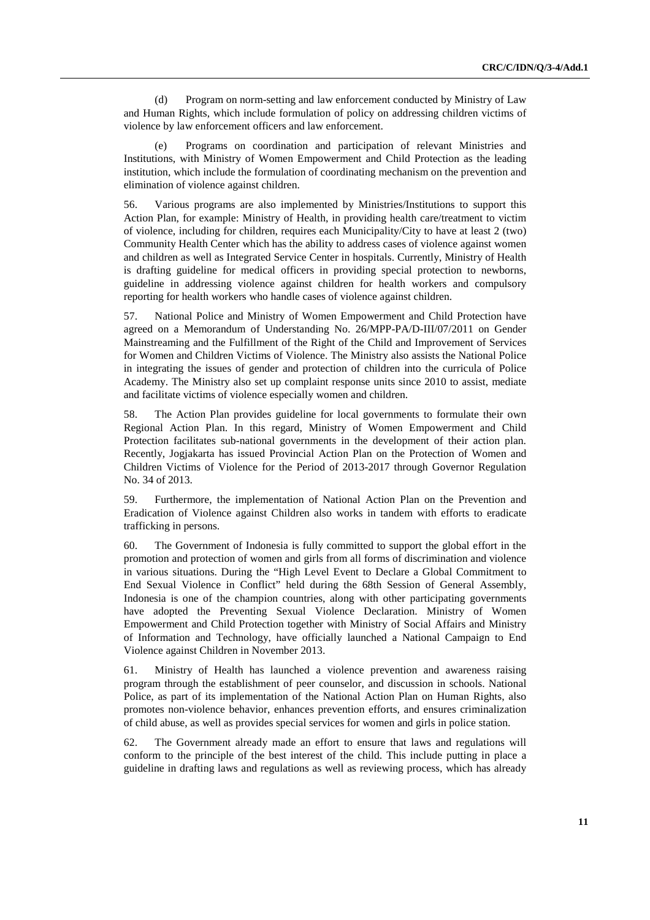(d) Program on norm-setting and law enforcement conducted by Ministry of Law and Human Rights, which include formulation of policy on addressing children victims of violence by law enforcement officers and law enforcement.

Programs on coordination and participation of relevant Ministries and Institutions, with Ministry of Women Empowerment and Child Protection as the leading institution, which include the formulation of coordinating mechanism on the prevention and elimination of violence against children.

56. Various programs are also implemented by Ministries/Institutions to support this Action Plan, for example: Ministry of Health, in providing health care/treatment to victim of violence, including for children, requires each Municipality/City to have at least 2 (two) Community Health Center which has the ability to address cases of violence against women and children as well as Integrated Service Center in hospitals. Currently, Ministry of Health is drafting guideline for medical officers in providing special protection to newborns, guideline in addressing violence against children for health workers and compulsory reporting for health workers who handle cases of violence against children.

57. National Police and Ministry of Women Empowerment and Child Protection have agreed on a Memorandum of Understanding No. 26/MPP-PA/D-III/07/2011 on Gender Mainstreaming and the Fulfillment of the Right of the Child and Improvement of Services for Women and Children Victims of Violence. The Ministry also assists the National Police in integrating the issues of gender and protection of children into the curricula of Police Academy. The Ministry also set up complaint response units since 2010 to assist, mediate and facilitate victims of violence especially women and children.

58. The Action Plan provides guideline for local governments to formulate their own Regional Action Plan. In this regard, Ministry of Women Empowerment and Child Protection facilitates sub-national governments in the development of their action plan. Recently, Jogjakarta has issued Provincial Action Plan on the Protection of Women and Children Victims of Violence for the Period of 2013-2017 through Governor Regulation No. 34 of 2013.

59. Furthermore, the implementation of National Action Plan on the Prevention and Eradication of Violence against Children also works in tandem with efforts to eradicate trafficking in persons.

60. The Government of Indonesia is fully committed to support the global effort in the promotion and protection of women and girls from all forms of discrimination and violence in various situations. During the "High Level Event to Declare a Global Commitment to End Sexual Violence in Conflict" held during the 68th Session of General Assembly, Indonesia is one of the champion countries, along with other participating governments have adopted the Preventing Sexual Violence Declaration. Ministry of Women Empowerment and Child Protection together with Ministry of Social Affairs and Ministry of Information and Technology, have officially launched a National Campaign to End Violence against Children in November 2013.

61. Ministry of Health has launched a violence prevention and awareness raising program through the establishment of peer counselor, and discussion in schools. National Police, as part of its implementation of the National Action Plan on Human Rights, also promotes non-violence behavior, enhances prevention efforts, and ensures criminalization of child abuse, as well as provides special services for women and girls in police station.

62. The Government already made an effort to ensure that laws and regulations will conform to the principle of the best interest of the child. This include putting in place a guideline in drafting laws and regulations as well as reviewing process, which has already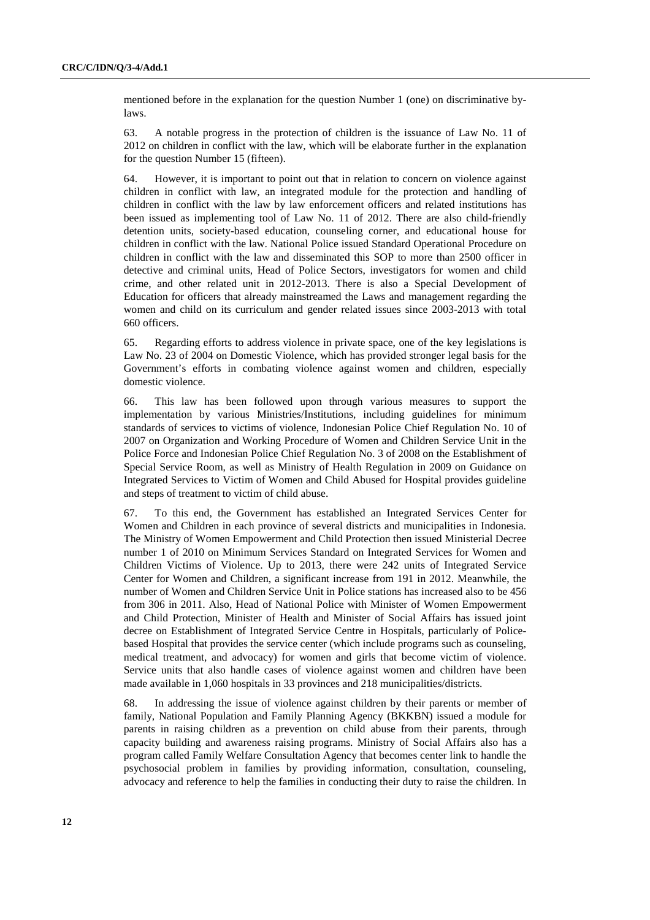mentioned before in the explanation for the question Number 1 (one) on discriminative bylaws.

63. A notable progress in the protection of children is the issuance of Law No. 11 of 2012 on children in conflict with the law, which will be elaborate further in the explanation for the question Number 15 (fifteen).

64. However, it is important to point out that in relation to concern on violence against children in conflict with law, an integrated module for the protection and handling of children in conflict with the law by law enforcement officers and related institutions has been issued as implementing tool of Law No. 11 of 2012. There are also child-friendly detention units, society-based education, counseling corner, and educational house for children in conflict with the law. National Police issued Standard Operational Procedure on children in conflict with the law and disseminated this SOP to more than 2500 officer in detective and criminal units, Head of Police Sectors, investigators for women and child crime, and other related unit in 2012-2013. There is also a Special Development of Education for officers that already mainstreamed the Laws and management regarding the women and child on its curriculum and gender related issues since 2003-2013 with total 660 officers.

65. Regarding efforts to address violence in private space, one of the key legislations is Law No. 23 of 2004 on Domestic Violence, which has provided stronger legal basis for the Government's efforts in combating violence against women and children, especially domestic violence.

66. This law has been followed upon through various measures to support the implementation by various Ministries/Institutions, including guidelines for minimum standards of services to victims of violence, Indonesian Police Chief Regulation No. 10 of 2007 on Organization and Working Procedure of Women and Children Service Unit in the Police Force and Indonesian Police Chief Regulation No. 3 of 2008 on the Establishment of Special Service Room, as well as Ministry of Health Regulation in 2009 on Guidance on Integrated Services to Victim of Women and Child Abused for Hospital provides guideline and steps of treatment to victim of child abuse.

67. To this end, the Government has established an Integrated Services Center for Women and Children in each province of several districts and municipalities in Indonesia. The Ministry of Women Empowerment and Child Protection then issued Ministerial Decree number 1 of 2010 on Minimum Services Standard on Integrated Services for Women and Children Victims of Violence. Up to 2013, there were 242 units of Integrated Service Center for Women and Children, a significant increase from 191 in 2012. Meanwhile, the number of Women and Children Service Unit in Police stations has increased also to be 456 from 306 in 2011. Also, Head of National Police with Minister of Women Empowerment and Child Protection, Minister of Health and Minister of Social Affairs has issued joint decree on Establishment of Integrated Service Centre in Hospitals, particularly of Policebased Hospital that provides the service center (which include programs such as counseling, medical treatment, and advocacy) for women and girls that become victim of violence. Service units that also handle cases of violence against women and children have been made available in 1,060 hospitals in 33 provinces and 218 municipalities/districts.

68. In addressing the issue of violence against children by their parents or member of family, National Population and Family Planning Agency (BKKBN) issued a module for parents in raising children as a prevention on child abuse from their parents, through capacity building and awareness raising programs. Ministry of Social Affairs also has a program called Family Welfare Consultation Agency that becomes center link to handle the psychosocial problem in families by providing information, consultation, counseling, advocacy and reference to help the families in conducting their duty to raise the children. In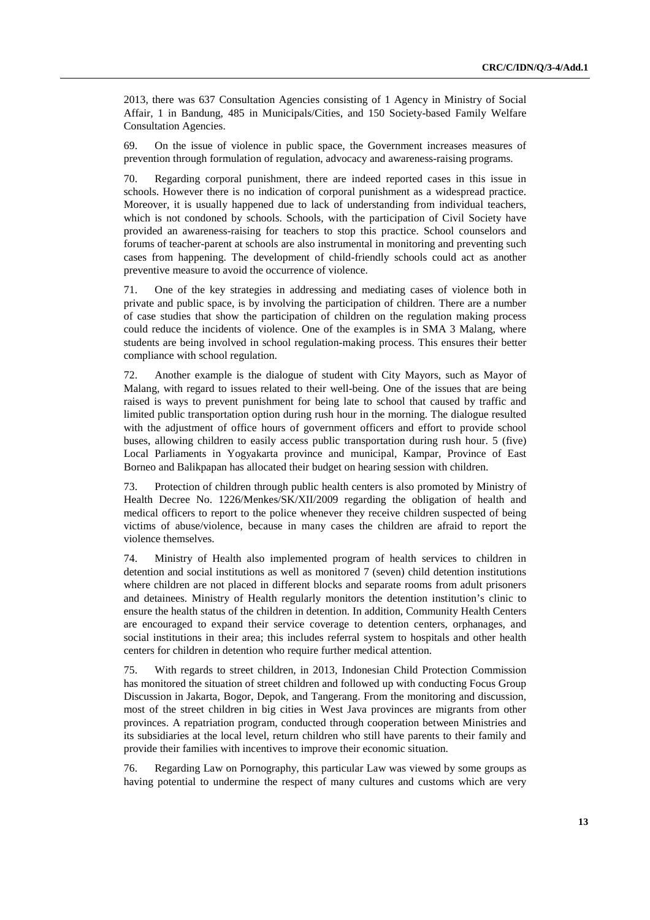2013, there was 637 Consultation Agencies consisting of 1 Agency in Ministry of Social Affair, 1 in Bandung, 485 in Municipals/Cities, and 150 Society-based Family Welfare Consultation Agencies.

69. On the issue of violence in public space, the Government increases measures of prevention through formulation of regulation, advocacy and awareness-raising programs.

70. Regarding corporal punishment, there are indeed reported cases in this issue in schools. However there is no indication of corporal punishment as a widespread practice. Moreover, it is usually happened due to lack of understanding from individual teachers, which is not condoned by schools. Schools, with the participation of Civil Society have provided an awareness-raising for teachers to stop this practice. School counselors and forums of teacher-parent at schools are also instrumental in monitoring and preventing such cases from happening. The development of child-friendly schools could act as another preventive measure to avoid the occurrence of violence.

71. One of the key strategies in addressing and mediating cases of violence both in private and public space, is by involving the participation of children. There are a number of case studies that show the participation of children on the regulation making process could reduce the incidents of violence. One of the examples is in SMA 3 Malang, where students are being involved in school regulation-making process. This ensures their better compliance with school regulation.

72. Another example is the dialogue of student with City Mayors, such as Mayor of Malang, with regard to issues related to their well-being. One of the issues that are being raised is ways to prevent punishment for being late to school that caused by traffic and limited public transportation option during rush hour in the morning. The dialogue resulted with the adjustment of office hours of government officers and effort to provide school buses, allowing children to easily access public transportation during rush hour. 5 (five) Local Parliaments in Yogyakarta province and municipal, Kampar, Province of East Borneo and Balikpapan has allocated their budget on hearing session with children.

73. Protection of children through public health centers is also promoted by Ministry of Health Decree No. 1226/Menkes/SK/XII/2009 regarding the obligation of health and medical officers to report to the police whenever they receive children suspected of being victims of abuse/violence, because in many cases the children are afraid to report the violence themselves.

74. Ministry of Health also implemented program of health services to children in detention and social institutions as well as monitored 7 (seven) child detention institutions where children are not placed in different blocks and separate rooms from adult prisoners and detainees. Ministry of Health regularly monitors the detention institution's clinic to ensure the health status of the children in detention. In addition, Community Health Centers are encouraged to expand their service coverage to detention centers, orphanages, and social institutions in their area; this includes referral system to hospitals and other health centers for children in detention who require further medical attention.

75. With regards to street children, in 2013, Indonesian Child Protection Commission has monitored the situation of street children and followed up with conducting Focus Group Discussion in Jakarta, Bogor, Depok, and Tangerang. From the monitoring and discussion, most of the street children in big cities in West Java provinces are migrants from other provinces. A repatriation program, conducted through cooperation between Ministries and its subsidiaries at the local level, return children who still have parents to their family and provide their families with incentives to improve their economic situation.

76. Regarding Law on Pornography, this particular Law was viewed by some groups as having potential to undermine the respect of many cultures and customs which are very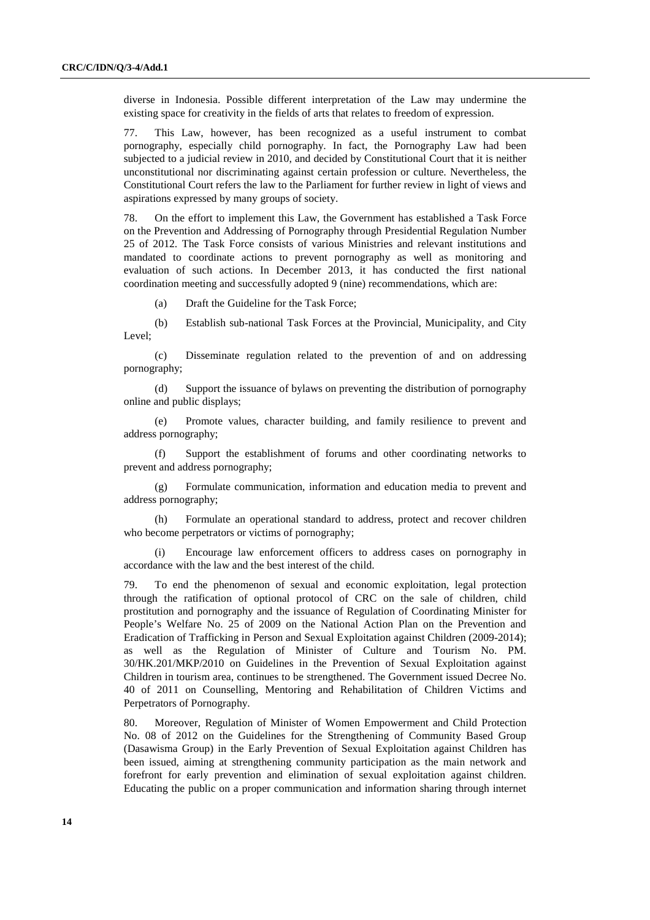diverse in Indonesia. Possible different interpretation of the Law may undermine the existing space for creativity in the fields of arts that relates to freedom of expression.

77. This Law, however, has been recognized as a useful instrument to combat pornography, especially child pornography. In fact, the Pornography Law had been subjected to a judicial review in 2010, and decided by Constitutional Court that it is neither unconstitutional nor discriminating against certain profession or culture. Nevertheless, the Constitutional Court refers the law to the Parliament for further review in light of views and aspirations expressed by many groups of society.

78. On the effort to implement this Law, the Government has established a Task Force on the Prevention and Addressing of Pornography through Presidential Regulation Number 25 of 2012. The Task Force consists of various Ministries and relevant institutions and mandated to coordinate actions to prevent pornography as well as monitoring and evaluation of such actions. In December 2013, it has conducted the first national coordination meeting and successfully adopted 9 (nine) recommendations, which are:

(a) Draft the Guideline for the Task Force;

(b) Establish sub-national Task Forces at the Provincial, Municipality, and City Level;

(c) Disseminate regulation related to the prevention of and on addressing pornography;

(d) Support the issuance of bylaws on preventing the distribution of pornography online and public displays;

(e) Promote values, character building, and family resilience to prevent and address pornography;

(f) Support the establishment of forums and other coordinating networks to prevent and address pornography;

(g) Formulate communication, information and education media to prevent and address pornography;

(h) Formulate an operational standard to address, protect and recover children who become perpetrators or victims of pornography;

(i) Encourage law enforcement officers to address cases on pornography in accordance with the law and the best interest of the child.

79. To end the phenomenon of sexual and economic exploitation, legal protection through the ratification of optional protocol of CRC on the sale of children, child prostitution and pornography and the issuance of Regulation of Coordinating Minister for People's Welfare No. 25 of 2009 on the National Action Plan on the Prevention and Eradication of Trafficking in Person and Sexual Exploitation against Children (2009-2014); as well as the Regulation of Minister of Culture and Tourism No. PM. 30/HK.201/MKP/2010 on Guidelines in the Prevention of Sexual Exploitation against Children in tourism area, continues to be strengthened. The Government issued Decree No. 40 of 2011 on Counselling, Mentoring and Rehabilitation of Children Victims and Perpetrators of Pornography.

80. Moreover, Regulation of Minister of Women Empowerment and Child Protection No. 08 of 2012 on the Guidelines for the Strengthening of Community Based Group (Dasawisma Group) in the Early Prevention of Sexual Exploitation against Children has been issued, aiming at strengthening community participation as the main network and forefront for early prevention and elimination of sexual exploitation against children. Educating the public on a proper communication and information sharing through internet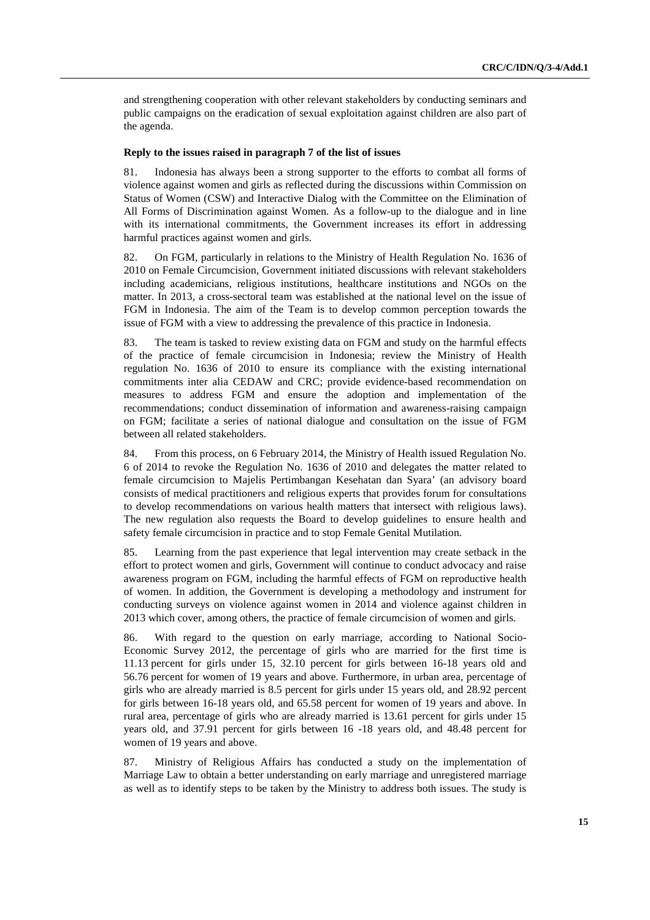and strengthening cooperation with other relevant stakeholders by conducting seminars and public campaigns on the eradication of sexual exploitation against children are also part of the agenda.

#### **Reply to the issues raised in paragraph 7 of the list of issues**

81. Indonesia has always been a strong supporter to the efforts to combat all forms of violence against women and girls as reflected during the discussions within Commission on Status of Women (CSW) and Interactive Dialog with the Committee on the Elimination of All Forms of Discrimination against Women. As a follow-up to the dialogue and in line with its international commitments, the Government increases its effort in addressing harmful practices against women and girls.

82. On FGM, particularly in relations to the Ministry of Health Regulation No. 1636 of 2010 on Female Circumcision, Government initiated discussions with relevant stakeholders including academicians, religious institutions, healthcare institutions and NGOs on the matter. In 2013, a cross-sectoral team was established at the national level on the issue of FGM in Indonesia. The aim of the Team is to develop common perception towards the issue of FGM with a view to addressing the prevalence of this practice in Indonesia.

83. The team is tasked to review existing data on FGM and study on the harmful effects of the practice of female circumcision in Indonesia; review the Ministry of Health regulation No. 1636 of 2010 to ensure its compliance with the existing international commitments inter alia CEDAW and CRC; provide evidence-based recommendation on measures to address FGM and ensure the adoption and implementation of the recommendations; conduct dissemination of information and awareness-raising campaign on FGM; facilitate a series of national dialogue and consultation on the issue of FGM between all related stakeholders.

84. From this process, on 6 February 2014, the Ministry of Health issued Regulation No. 6 of 2014 to revoke the Regulation No. 1636 of 2010 and delegates the matter related to female circumcision to Majelis Pertimbangan Kesehatan dan Syara' (an advisory board consists of medical practitioners and religious experts that provides forum for consultations to develop recommendations on various health matters that intersect with religious laws). The new regulation also requests the Board to develop guidelines to ensure health and safety female circumcision in practice and to stop Female Genital Mutilation.

85. Learning from the past experience that legal intervention may create setback in the effort to protect women and girls, Government will continue to conduct advocacy and raise awareness program on FGM, including the harmful effects of FGM on reproductive health of women. In addition, the Government is developing a methodology and instrument for conducting surveys on violence against women in 2014 and violence against children in 2013 which cover, among others, the practice of female circumcision of women and girls.

86. With regard to the question on early marriage, according to National Socio-Economic Survey 2012, the percentage of girls who are married for the first time is 11.13 percent for girls under 15, 32.10 percent for girls between 16-18 years old and 56.76 percent for women of 19 years and above. Furthermore, in urban area, percentage of girls who are already married is 8.5 percent for girls under 15 years old, and 28.92 percent for girls between 16-18 years old, and 65.58 percent for women of 19 years and above. In rural area, percentage of girls who are already married is 13.61 percent for girls under 15 years old, and 37.91 percent for girls between 16 -18 years old, and 48.48 percent for women of 19 years and above.

87. Ministry of Religious Affairs has conducted a study on the implementation of Marriage Law to obtain a better understanding on early marriage and unregistered marriage as well as to identify steps to be taken by the Ministry to address both issues. The study is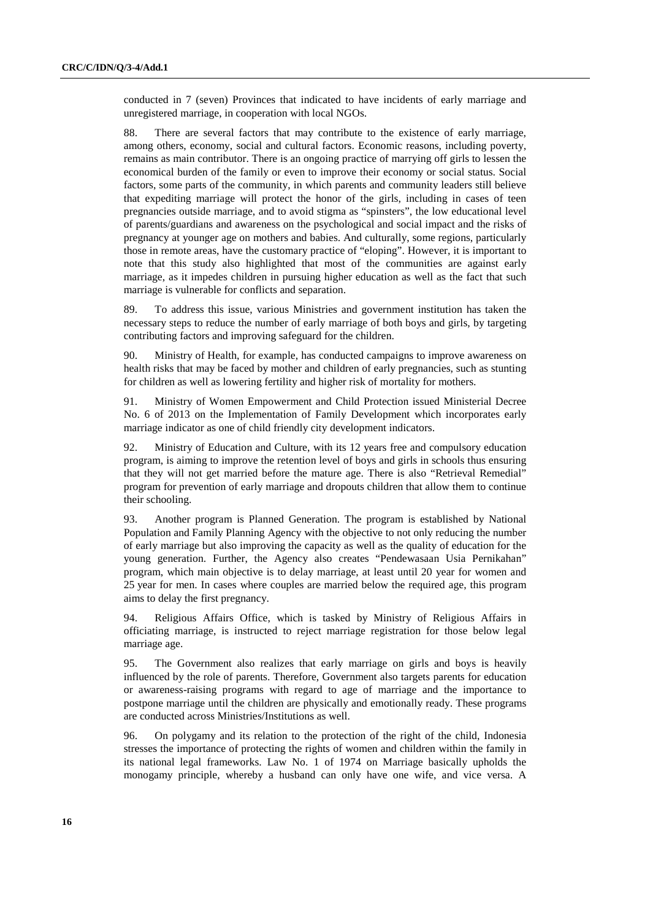conducted in 7 (seven) Provinces that indicated to have incidents of early marriage and unregistered marriage, in cooperation with local NGOs.

88. There are several factors that may contribute to the existence of early marriage, among others, economy, social and cultural factors. Economic reasons, including poverty, remains as main contributor. There is an ongoing practice of marrying off girls to lessen the economical burden of the family or even to improve their economy or social status. Social factors, some parts of the community, in which parents and community leaders still believe that expediting marriage will protect the honor of the girls, including in cases of teen pregnancies outside marriage, and to avoid stigma as "spinsters", the low educational level of parents/guardians and awareness on the psychological and social impact and the risks of pregnancy at younger age on mothers and babies. And culturally, some regions, particularly those in remote areas, have the customary practice of "eloping". However, it is important to note that this study also highlighted that most of the communities are against early marriage, as it impedes children in pursuing higher education as well as the fact that such marriage is vulnerable for conflicts and separation.

89. To address this issue, various Ministries and government institution has taken the necessary steps to reduce the number of early marriage of both boys and girls, by targeting contributing factors and improving safeguard for the children.

90. Ministry of Health, for example, has conducted campaigns to improve awareness on health risks that may be faced by mother and children of early pregnancies, such as stunting for children as well as lowering fertility and higher risk of mortality for mothers.

91. Ministry of Women Empowerment and Child Protection issued Ministerial Decree No. 6 of 2013 on the Implementation of Family Development which incorporates early marriage indicator as one of child friendly city development indicators.

92. Ministry of Education and Culture, with its 12 years free and compulsory education program, is aiming to improve the retention level of boys and girls in schools thus ensuring that they will not get married before the mature age. There is also "Retrieval Remedial" program for prevention of early marriage and dropouts children that allow them to continue their schooling.

93. Another program is Planned Generation. The program is established by National Population and Family Planning Agency with the objective to not only reducing the number of early marriage but also improving the capacity as well as the quality of education for the young generation. Further, the Agency also creates "Pendewasaan Usia Pernikahan" program, which main objective is to delay marriage, at least until 20 year for women and 25 year for men. In cases where couples are married below the required age, this program aims to delay the first pregnancy.

94. Religious Affairs Office, which is tasked by Ministry of Religious Affairs in officiating marriage, is instructed to reject marriage registration for those below legal marriage age.

95. The Government also realizes that early marriage on girls and boys is heavily influenced by the role of parents. Therefore, Government also targets parents for education or awareness-raising programs with regard to age of marriage and the importance to postpone marriage until the children are physically and emotionally ready. These programs are conducted across Ministries/Institutions as well.

96. On polygamy and its relation to the protection of the right of the child, Indonesia stresses the importance of protecting the rights of women and children within the family in its national legal frameworks. Law No. 1 of 1974 on Marriage basically upholds the monogamy principle, whereby a husband can only have one wife, and vice versa. A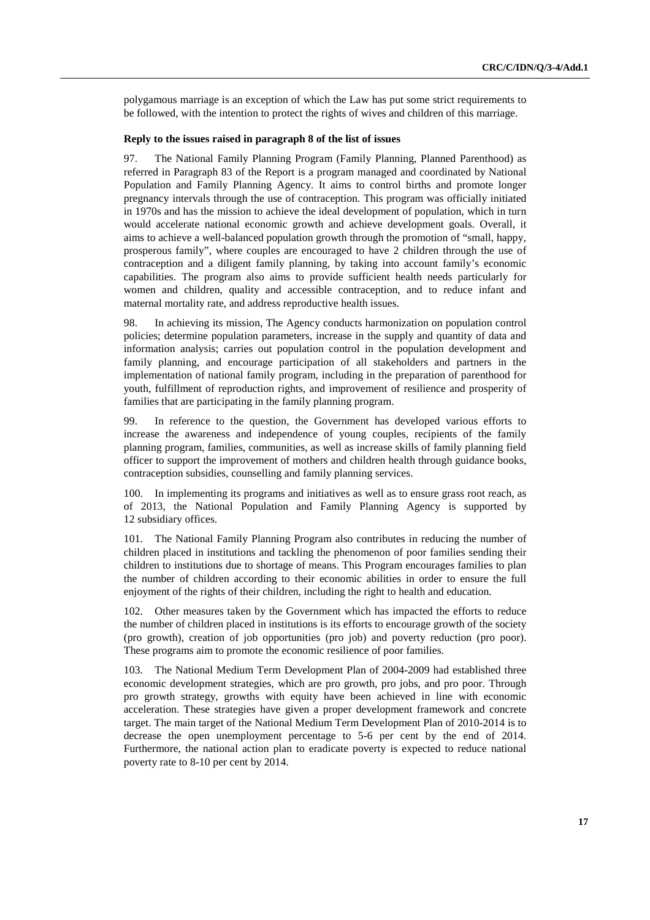polygamous marriage is an exception of which the Law has put some strict requirements to be followed, with the intention to protect the rights of wives and children of this marriage.

#### **Reply to the issues raised in paragraph 8 of the list of issues**

97. The National Family Planning Program (Family Planning, Planned Parenthood) as referred in Paragraph 83 of the Report is a program managed and coordinated by National Population and Family Planning Agency. It aims to control births and promote longer pregnancy intervals through the use of contraception. This program was officially initiated in 1970s and has the mission to achieve the ideal development of population, which in turn would accelerate national economic growth and achieve development goals. Overall, it aims to achieve a well-balanced population growth through the promotion of "small, happy, prosperous family", where couples are encouraged to have 2 children through the use of contraception and a diligent family planning, by taking into account family's economic capabilities. The program also aims to provide sufficient health needs particularly for women and children, quality and accessible contraception, and to reduce infant and maternal mortality rate, and address reproductive health issues.

98. In achieving its mission, The Agency conducts harmonization on population control policies; determine population parameters, increase in the supply and quantity of data and information analysis; carries out population control in the population development and family planning, and encourage participation of all stakeholders and partners in the implementation of national family program, including in the preparation of parenthood for youth, fulfillment of reproduction rights, and improvement of resilience and prosperity of families that are participating in the family planning program.

99. In reference to the question, the Government has developed various efforts to increase the awareness and independence of young couples, recipients of the family planning program, families, communities, as well as increase skills of family planning field officer to support the improvement of mothers and children health through guidance books, contraception subsidies, counselling and family planning services.

100. In implementing its programs and initiatives as well as to ensure grass root reach, as of 2013, the National Population and Family Planning Agency is supported by 12 subsidiary offices.

101. The National Family Planning Program also contributes in reducing the number of children placed in institutions and tackling the phenomenon of poor families sending their children to institutions due to shortage of means. This Program encourages families to plan the number of children according to their economic abilities in order to ensure the full enjoyment of the rights of their children, including the right to health and education.

102. Other measures taken by the Government which has impacted the efforts to reduce the number of children placed in institutions is its efforts to encourage growth of the society (pro growth), creation of job opportunities (pro job) and poverty reduction (pro poor). These programs aim to promote the economic resilience of poor families.

103. The National Medium Term Development Plan of 2004-2009 had established three economic development strategies, which are pro growth, pro jobs, and pro poor. Through pro growth strategy, growths with equity have been achieved in line with economic acceleration. These strategies have given a proper development framework and concrete target. The main target of the National Medium Term Development Plan of 2010-2014 is to decrease the open unemployment percentage to 5-6 per cent by the end of 2014. Furthermore, the national action plan to eradicate poverty is expected to reduce national poverty rate to 8-10 per cent by 2014.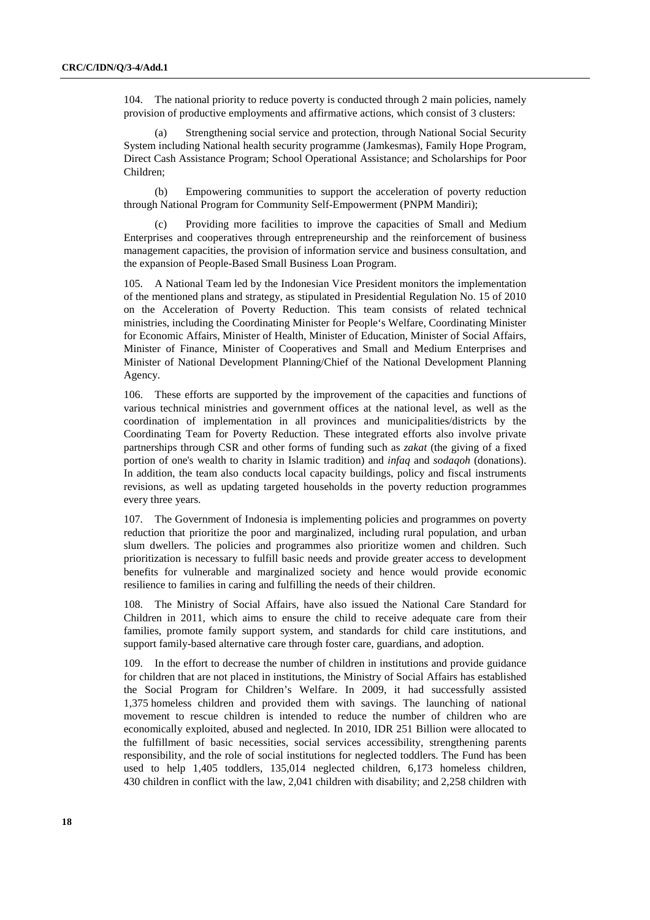104. The national priority to reduce poverty is conducted through 2 main policies, namely provision of productive employments and affirmative actions, which consist of 3 clusters:

(a) Strengthening social service and protection, through National Social Security System including National health security programme (Jamkesmas), Family Hope Program, Direct Cash Assistance Program; School Operational Assistance; and Scholarships for Poor Children;

(b) Empowering communities to support the acceleration of poverty reduction through National Program for Community Self-Empowerment (PNPM Mandiri);

(c) Providing more facilities to improve the capacities of Small and Medium Enterprises and cooperatives through entrepreneurship and the reinforcement of business management capacities, the provision of information service and business consultation, and the expansion of People-Based Small Business Loan Program.

105. A National Team led by the Indonesian Vice President monitors the implementation of the mentioned plans and strategy, as stipulated in Presidential Regulation No. 15 of 2010 on the Acceleration of Poverty Reduction. This team consists of related technical ministries, including the Coordinating Minister for People's Welfare, Coordinating Minister for Economic Affairs, Minister of Health, Minister of Education, Minister of Social Affairs, Minister of Finance, Minister of Cooperatives and Small and Medium Enterprises and Minister of National Development Planning/Chief of the National Development Planning Agency.

106. These efforts are supported by the improvement of the capacities and functions of various technical ministries and government offices at the national level, as well as the coordination of implementation in all provinces and municipalities/districts by the Coordinating Team for Poverty Reduction. These integrated efforts also involve private partnerships through CSR and other forms of funding such as *zakat* (the giving of a fixed portion of one's wealth to charity in Islamic tradition) and *infaq* and *sodaqoh* (donations). In addition, the team also conducts local capacity buildings, policy and fiscal instruments revisions, as well as updating targeted households in the poverty reduction programmes every three years.

107. The Government of Indonesia is implementing policies and programmes on poverty reduction that prioritize the poor and marginalized, including rural population, and urban slum dwellers. The policies and programmes also prioritize women and children. Such prioritization is necessary to fulfill basic needs and provide greater access to development benefits for vulnerable and marginalized society and hence would provide economic resilience to families in caring and fulfilling the needs of their children.

108. The Ministry of Social Affairs, have also issued the National Care Standard for Children in 2011, which aims to ensure the child to receive adequate care from their families, promote family support system, and standards for child care institutions, and support family-based alternative care through foster care, guardians, and adoption.

109. In the effort to decrease the number of children in institutions and provide guidance for children that are not placed in institutions, the Ministry of Social Affairs has established the Social Program for Children's Welfare. In 2009, it had successfully assisted 1,375 homeless children and provided them with savings. The launching of national movement to rescue children is intended to reduce the number of children who are economically exploited, abused and neglected. In 2010, IDR 251 Billion were allocated to the fulfillment of basic necessities, social services accessibility, strengthening parents responsibility, and the role of social institutions for neglected toddlers. The Fund has been used to help 1,405 toddlers, 135,014 neglected children, 6,173 homeless children, 430 children in conflict with the law, 2,041 children with disability; and 2,258 children with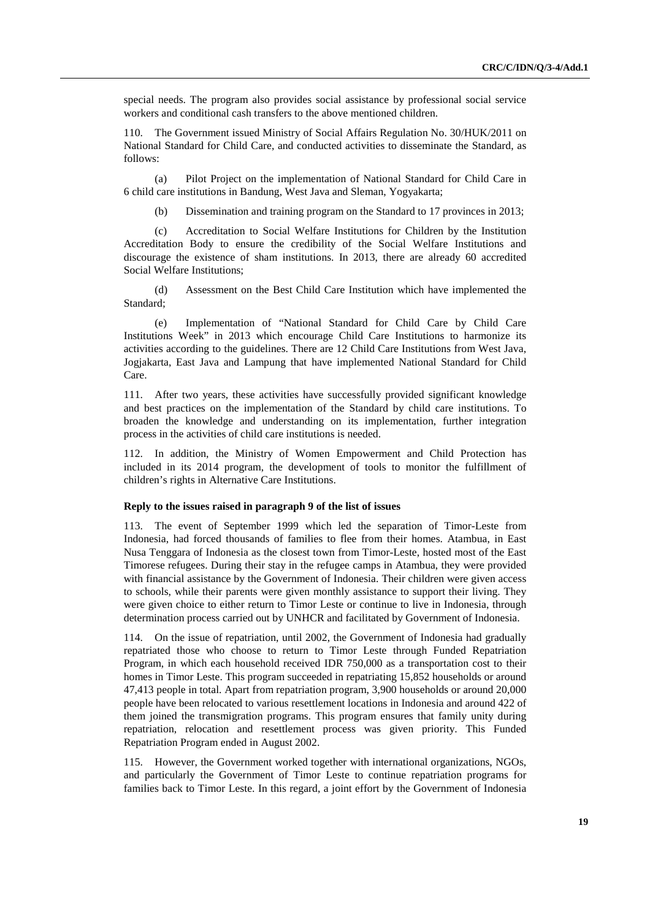special needs. The program also provides social assistance by professional social service workers and conditional cash transfers to the above mentioned children.

110. The Government issued Ministry of Social Affairs Regulation No. 30/HUK/2011 on National Standard for Child Care, and conducted activities to disseminate the Standard, as follows:

(a) Pilot Project on the implementation of National Standard for Child Care in 6 child care institutions in Bandung, West Java and Sleman, Yogyakarta;

(b) Dissemination and training program on the Standard to 17 provinces in 2013;

(c) Accreditation to Social Welfare Institutions for Children by the Institution Accreditation Body to ensure the credibility of the Social Welfare Institutions and discourage the existence of sham institutions. In 2013, there are already 60 accredited Social Welfare Institutions;

(d) Assessment on the Best Child Care Institution which have implemented the Standard;

(e) Implementation of "National Standard for Child Care by Child Care Institutions Week" in 2013 which encourage Child Care Institutions to harmonize its activities according to the guidelines. There are 12 Child Care Institutions from West Java, Jogjakarta, East Java and Lampung that have implemented National Standard for Child Care.

111. After two years, these activities have successfully provided significant knowledge and best practices on the implementation of the Standard by child care institutions. To broaden the knowledge and understanding on its implementation, further integration process in the activities of child care institutions is needed.

In addition, the Ministry of Women Empowerment and Child Protection has included in its 2014 program, the development of tools to monitor the fulfillment of children's rights in Alternative Care Institutions.

#### **Reply to the issues raised in paragraph 9 of the list of issues**

113. The event of September 1999 which led the separation of Timor-Leste from Indonesia, had forced thousands of families to flee from their homes. Atambua, in East Nusa Tenggara of Indonesia as the closest town from Timor-Leste, hosted most of the East Timorese refugees. During their stay in the refugee camps in Atambua, they were provided with financial assistance by the Government of Indonesia. Their children were given access to schools, while their parents were given monthly assistance to support their living. They were given choice to either return to Timor Leste or continue to live in Indonesia, through determination process carried out by UNHCR and facilitated by Government of Indonesia.

114. On the issue of repatriation, until 2002, the Government of Indonesia had gradually repatriated those who choose to return to Timor Leste through Funded Repatriation Program, in which each household received IDR 750,000 as a transportation cost to their homes in Timor Leste. This program succeeded in repatriating 15,852 households or around 47,413 people in total. Apart from repatriation program, 3,900 households or around 20,000 people have been relocated to various resettlement locations in Indonesia and around 422 of them joined the transmigration programs. This program ensures that family unity during repatriation, relocation and resettlement process was given priority. This Funded Repatriation Program ended in August 2002.

115. However, the Government worked together with international organizations, NGOs, and particularly the Government of Timor Leste to continue repatriation programs for families back to Timor Leste. In this regard, a joint effort by the Government of Indonesia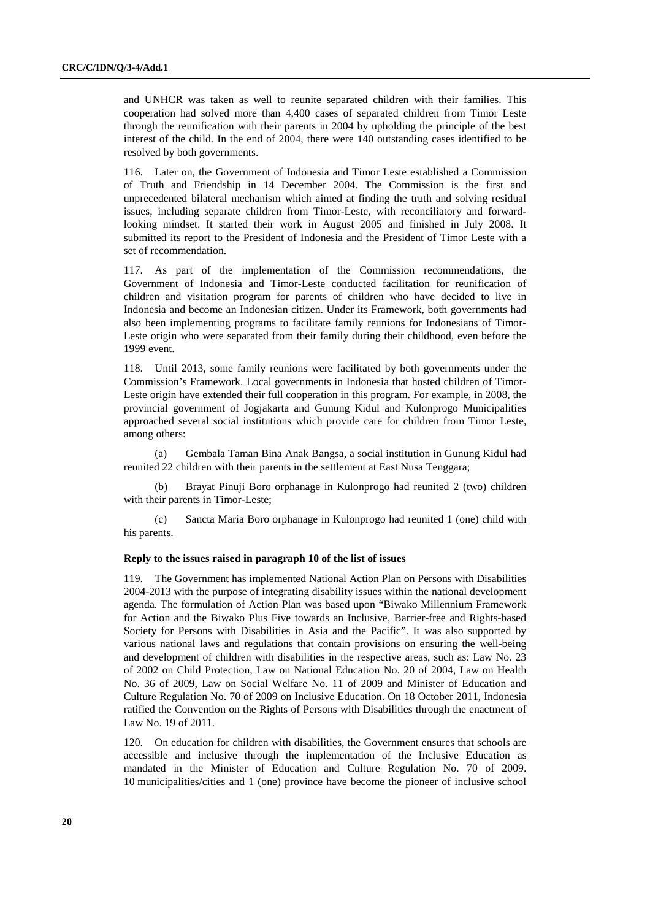and UNHCR was taken as well to reunite separated children with their families. This cooperation had solved more than 4,400 cases of separated children from Timor Leste through the reunification with their parents in 2004 by upholding the principle of the best interest of the child. In the end of 2004, there were 140 outstanding cases identified to be resolved by both governments.

116. Later on, the Government of Indonesia and Timor Leste established a Commission of Truth and Friendship in 14 December 2004. The Commission is the first and unprecedented bilateral mechanism which aimed at finding the truth and solving residual issues, including separate children from Timor-Leste, with reconciliatory and forwardlooking mindset. It started their work in August 2005 and finished in July 2008. It submitted its report to the President of Indonesia and the President of Timor Leste with a set of recommendation.

117. As part of the implementation of the Commission recommendations, the Government of Indonesia and Timor-Leste conducted facilitation for reunification of children and visitation program for parents of children who have decided to live in Indonesia and become an Indonesian citizen. Under its Framework, both governments had also been implementing programs to facilitate family reunions for Indonesians of Timor-Leste origin who were separated from their family during their childhood, even before the 1999 event.

118. Until 2013, some family reunions were facilitated by both governments under the Commission's Framework. Local governments in Indonesia that hosted children of Timor-Leste origin have extended their full cooperation in this program. For example, in 2008, the provincial government of Jogjakarta and Gunung Kidul and Kulonprogo Municipalities approached several social institutions which provide care for children from Timor Leste, among others:

(a) Gembala Taman Bina Anak Bangsa, a social institution in Gunung Kidul had reunited 22 children with their parents in the settlement at East Nusa Tenggara;

(b) Brayat Pinuji Boro orphanage in Kulonprogo had reunited 2 (two) children with their parents in Timor-Leste;

(c) Sancta Maria Boro orphanage in Kulonprogo had reunited 1 (one) child with his parents.

#### **Reply to the issues raised in paragraph 10 of the list of issues**

119. The Government has implemented National Action Plan on Persons with Disabilities 2004-2013 with the purpose of integrating disability issues within the national development agenda. The formulation of Action Plan was based upon "Biwako Millennium Framework for Action and the Biwako Plus Five towards an Inclusive, Barrier-free and Rights-based Society for Persons with Disabilities in Asia and the Pacific". It was also supported by various national laws and regulations that contain provisions on ensuring the well-being and development of children with disabilities in the respective areas, such as: Law No. 23 of 2002 on Child Protection, Law on National Education No. 20 of 2004, Law on Health No. 36 of 2009, Law on Social Welfare No. 11 of 2009 and Minister of Education and Culture Regulation No. 70 of 2009 on Inclusive Education. On 18 October 2011, Indonesia ratified the Convention on the Rights of Persons with Disabilities through the enactment of Law No. 19 of 2011.

120. On education for children with disabilities, the Government ensures that schools are accessible and inclusive through the implementation of the Inclusive Education as mandated in the Minister of Education and Culture Regulation No. 70 of 2009. 10 municipalities/cities and 1 (one) province have become the pioneer of inclusive school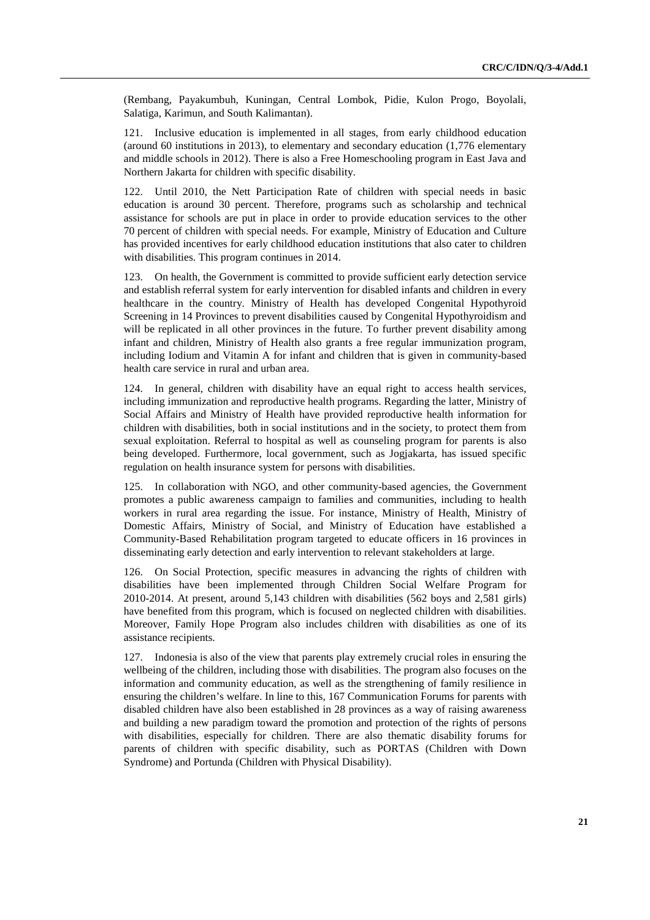(Rembang, Payakumbuh, Kuningan, Central Lombok, Pidie, Kulon Progo, Boyolali, Salatiga, Karimun, and South Kalimantan).

121. Inclusive education is implemented in all stages, from early childhood education (around 60 institutions in 2013), to elementary and secondary education (1,776 elementary and middle schools in 2012). There is also a Free Homeschooling program in East Java and Northern Jakarta for children with specific disability.

122. Until 2010, the Nett Participation Rate of children with special needs in basic education is around 30 percent. Therefore, programs such as scholarship and technical assistance for schools are put in place in order to provide education services to the other 70 percent of children with special needs. For example, Ministry of Education and Culture has provided incentives for early childhood education institutions that also cater to children with disabilities. This program continues in 2014.

123. On health, the Government is committed to provide sufficient early detection service and establish referral system for early intervention for disabled infants and children in every healthcare in the country. Ministry of Health has developed Congenital Hypothyroid Screening in 14 Provinces to prevent disabilities caused by Congenital Hypothyroidism and will be replicated in all other provinces in the future. To further prevent disability among infant and children, Ministry of Health also grants a free regular immunization program, including Iodium and Vitamin A for infant and children that is given in community-based health care service in rural and urban area.

124. In general, children with disability have an equal right to access health services, including immunization and reproductive health programs. Regarding the latter, Ministry of Social Affairs and Ministry of Health have provided reproductive health information for children with disabilities, both in social institutions and in the society, to protect them from sexual exploitation. Referral to hospital as well as counseling program for parents is also being developed. Furthermore, local government, such as Jogjakarta, has issued specific regulation on health insurance system for persons with disabilities.

125. In collaboration with NGO, and other community-based agencies, the Government promotes a public awareness campaign to families and communities, including to health workers in rural area regarding the issue. For instance, Ministry of Health, Ministry of Domestic Affairs, Ministry of Social, and Ministry of Education have established a Community-Based Rehabilitation program targeted to educate officers in 16 provinces in disseminating early detection and early intervention to relevant stakeholders at large.

126. On Social Protection, specific measures in advancing the rights of children with disabilities have been implemented through Children Social Welfare Program for 2010-2014. At present, around 5,143 children with disabilities (562 boys and 2,581 girls) have benefited from this program, which is focused on neglected children with disabilities. Moreover, Family Hope Program also includes children with disabilities as one of its assistance recipients.

127. Indonesia is also of the view that parents play extremely crucial roles in ensuring the wellbeing of the children, including those with disabilities. The program also focuses on the information and community education, as well as the strengthening of family resilience in ensuring the children's welfare. In line to this, 167 Communication Forums for parents with disabled children have also been established in 28 provinces as a way of raising awareness and building a new paradigm toward the promotion and protection of the rights of persons with disabilities, especially for children. There are also thematic disability forums for parents of children with specific disability, such as PORTAS (Children with Down Syndrome) and Portunda (Children with Physical Disability).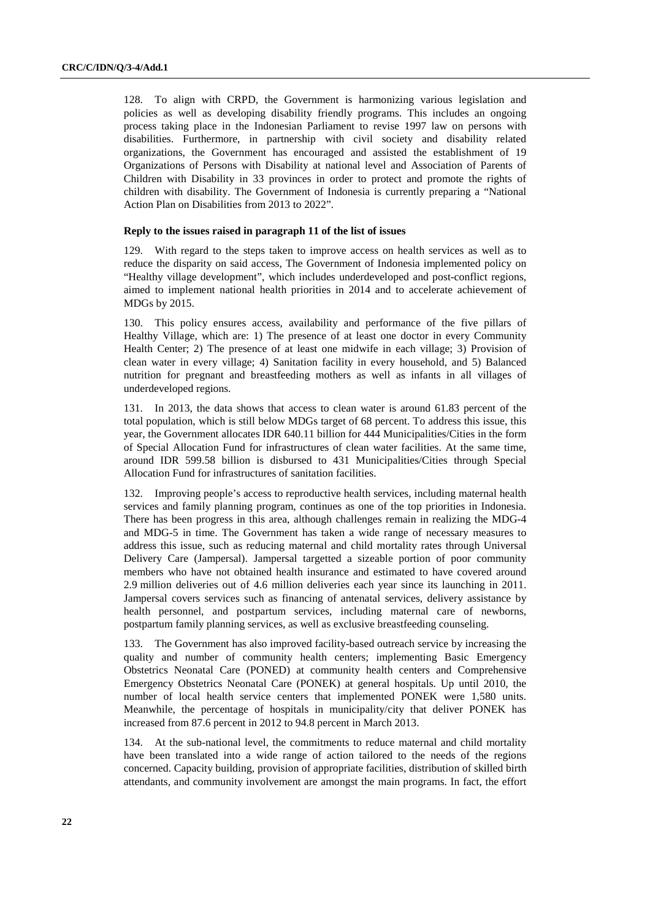128. To align with CRPD, the Government is harmonizing various legislation and policies as well as developing disability friendly programs. This includes an ongoing process taking place in the Indonesian Parliament to revise 1997 law on persons with disabilities. Furthermore, in partnership with civil society and disability related organizations, the Government has encouraged and assisted the establishment of 19 Organizations of Persons with Disability at national level and Association of Parents of Children with Disability in 33 provinces in order to protect and promote the rights of children with disability. The Government of Indonesia is currently preparing a "National Action Plan on Disabilities from 2013 to 2022".

#### **Reply to the issues raised in paragraph 11 of the list of issues**

129. With regard to the steps taken to improve access on health services as well as to reduce the disparity on said access, The Government of Indonesia implemented policy on "Healthy village development", which includes underdeveloped and post-conflict regions, aimed to implement national health priorities in 2014 and to accelerate achievement of MDGs by 2015.

130. This policy ensures access, availability and performance of the five pillars of Healthy Village, which are: 1) The presence of at least one doctor in every Community Health Center; 2) The presence of at least one midwife in each village; 3) Provision of clean water in every village; 4) Sanitation facility in every household, and 5) Balanced nutrition for pregnant and breastfeeding mothers as well as infants in all villages of underdeveloped regions.

131. In 2013, the data shows that access to clean water is around 61.83 percent of the total population, which is still below MDGs target of 68 percent. To address this issue, this year, the Government allocates IDR 640.11 billion for 444 Municipalities/Cities in the form of Special Allocation Fund for infrastructures of clean water facilities. At the same time, around IDR 599.58 billion is disbursed to 431 Municipalities/Cities through Special Allocation Fund for infrastructures of sanitation facilities.

132. Improving people's access to reproductive health services, including maternal health services and family planning program, continues as one of the top priorities in Indonesia. There has been progress in this area, although challenges remain in realizing the MDG-4 and MDG-5 in time. The Government has taken a wide range of necessary measures to address this issue, such as reducing maternal and child mortality rates through Universal Delivery Care (Jampersal). Jampersal targetted a sizeable portion of poor community members who have not obtained health insurance and estimated to have covered around 2.9 million deliveries out of 4.6 million deliveries each year since its launching in 2011. Jampersal covers services such as financing of antenatal services, delivery assistance by health personnel, and postpartum services, including maternal care of newborns, postpartum family planning services, as well as exclusive breastfeeding counseling.

133. The Government has also improved facility-based outreach service by increasing the quality and number of community health centers; implementing Basic Emergency Obstetrics Neonatal Care (PONED) at community health centers and Comprehensive Emergency Obstetrics Neonatal Care (PONEK) at general hospitals. Up until 2010, the number of local health service centers that implemented PONEK were 1,580 units. Meanwhile, the percentage of hospitals in municipality/city that deliver PONEK has increased from 87.6 percent in 2012 to 94.8 percent in March 2013.

134. At the sub-national level, the commitments to reduce maternal and child mortality have been translated into a wide range of action tailored to the needs of the regions concerned. Capacity building, provision of appropriate facilities, distribution of skilled birth attendants, and community involvement are amongst the main programs. In fact, the effort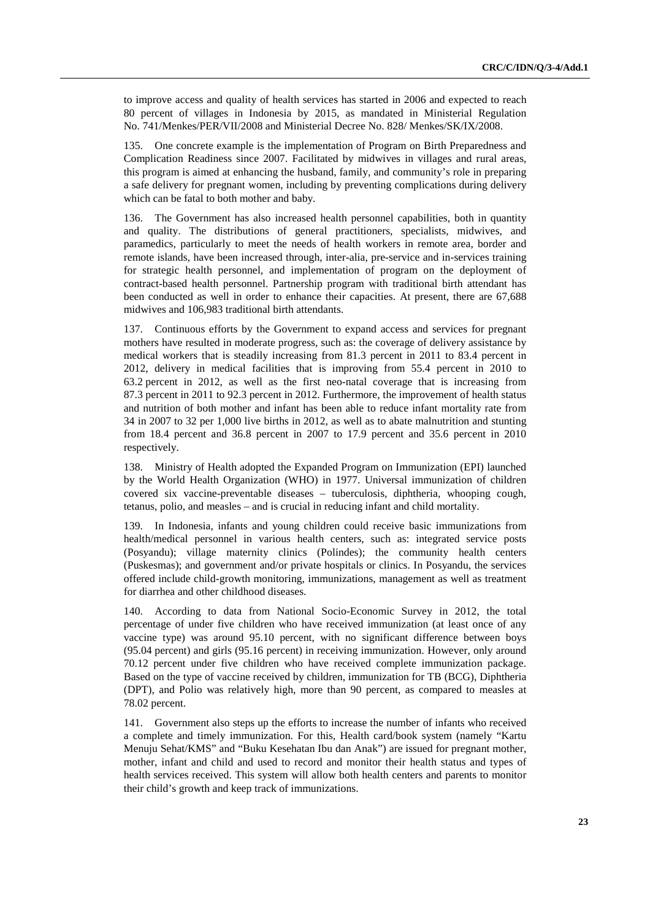to improve access and quality of health services has started in 2006 and expected to reach 80 percent of villages in Indonesia by 2015, as mandated in Ministerial Regulation No. 741/Menkes/PER/VII/2008 and Ministerial Decree No. 828/ Menkes/SK/IX/2008.

135. One concrete example is the implementation of Program on Birth Preparedness and Complication Readiness since 2007. Facilitated by midwives in villages and rural areas, this program is aimed at enhancing the husband, family, and community's role in preparing a safe delivery for pregnant women, including by preventing complications during delivery which can be fatal to both mother and baby.

136. The Government has also increased health personnel capabilities, both in quantity and quality. The distributions of general practitioners, specialists, midwives, and paramedics, particularly to meet the needs of health workers in remote area, border and remote islands, have been increased through, inter-alia, pre-service and in-services training for strategic health personnel, and implementation of program on the deployment of contract-based health personnel. Partnership program with traditional birth attendant has been conducted as well in order to enhance their capacities. At present, there are 67,688 midwives and 106,983 traditional birth attendants.

137. Continuous efforts by the Government to expand access and services for pregnant mothers have resulted in moderate progress, such as: the coverage of delivery assistance by medical workers that is steadily increasing from 81.3 percent in 2011 to 83.4 percent in 2012, delivery in medical facilities that is improving from 55.4 percent in 2010 to 63.2 percent in 2012, as well as the first neo-natal coverage that is increasing from 87.3 percent in 2011 to 92.3 percent in 2012. Furthermore, the improvement of health status and nutrition of both mother and infant has been able to reduce infant mortality rate from 34 in 2007 to 32 per 1,000 live births in 2012, as well as to abate malnutrition and stunting from 18.4 percent and 36.8 percent in 2007 to 17.9 percent and 35.6 percent in 2010 respectively.

138. Ministry of Health adopted the Expanded Program on Immunization (EPI) launched by the World Health Organization (WHO) in 1977. Universal immunization of children covered six vaccine-preventable diseases – tuberculosis, diphtheria, whooping cough, tetanus, polio, and measles – and is crucial in reducing infant and child mortality.

139. In Indonesia, infants and young children could receive basic immunizations from health/medical personnel in various health centers, such as: integrated service posts (Posyandu); village maternity clinics (Polindes); the community health centers (Puskesmas); and government and/or private hospitals or clinics. In Posyandu, the services offered include child-growth monitoring, immunizations, management as well as treatment for diarrhea and other childhood diseases.

140. According to data from National Socio-Economic Survey in 2012, the total percentage of under five children who have received immunization (at least once of any vaccine type) was around 95.10 percent, with no significant difference between boys (95.04 percent) and girls (95.16 percent) in receiving immunization. However, only around 70.12 percent under five children who have received complete immunization package. Based on the type of vaccine received by children, immunization for TB (BCG), Diphtheria (DPT), and Polio was relatively high, more than 90 percent, as compared to measles at 78.02 percent.

141. Government also steps up the efforts to increase the number of infants who received a complete and timely immunization. For this, Health card/book system (namely "Kartu Menuju Sehat/KMS" and "Buku Kesehatan Ibu dan Anak") are issued for pregnant mother, mother, infant and child and used to record and monitor their health status and types of health services received. This system will allow both health centers and parents to monitor their child's growth and keep track of immunizations.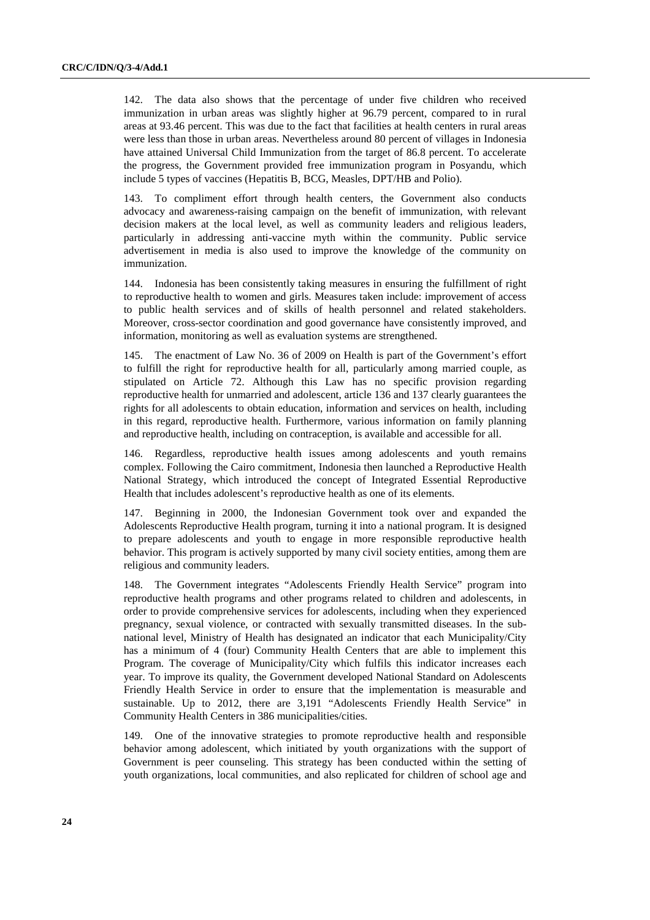142. The data also shows that the percentage of under five children who received immunization in urban areas was slightly higher at 96.79 percent, compared to in rural areas at 93.46 percent. This was due to the fact that facilities at health centers in rural areas were less than those in urban areas. Nevertheless around 80 percent of villages in Indonesia have attained Universal Child Immunization from the target of 86.8 percent. To accelerate the progress, the Government provided free immunization program in Posyandu, which include 5 types of vaccines (Hepatitis B, BCG, Measles, DPT/HB and Polio).

143. To compliment effort through health centers, the Government also conducts advocacy and awareness-raising campaign on the benefit of immunization, with relevant decision makers at the local level, as well as community leaders and religious leaders, particularly in addressing anti-vaccine myth within the community. Public service advertisement in media is also used to improve the knowledge of the community on immunization.

144. Indonesia has been consistently taking measures in ensuring the fulfillment of right to reproductive health to women and girls. Measures taken include: improvement of access to public health services and of skills of health personnel and related stakeholders. Moreover, cross-sector coordination and good governance have consistently improved, and information, monitoring as well as evaluation systems are strengthened.

145. The enactment of Law No. 36 of 2009 on Health is part of the Government's effort to fulfill the right for reproductive health for all, particularly among married couple, as stipulated on Article 72. Although this Law has no specific provision regarding reproductive health for unmarried and adolescent, article 136 and 137 clearly guarantees the rights for all adolescents to obtain education, information and services on health, including in this regard, reproductive health. Furthermore, various information on family planning and reproductive health, including on contraception, is available and accessible for all.

146. Regardless, reproductive health issues among adolescents and youth remains complex. Following the Cairo commitment, Indonesia then launched a Reproductive Health National Strategy, which introduced the concept of Integrated Essential Reproductive Health that includes adolescent's reproductive health as one of its elements.

147. Beginning in 2000, the Indonesian Government took over and expanded the Adolescents Reproductive Health program, turning it into a national program. It is designed to prepare adolescents and youth to engage in more responsible reproductive health behavior. This program is actively supported by many civil society entities, among them are religious and community leaders.

148. The Government integrates "Adolescents Friendly Health Service" program into reproductive health programs and other programs related to children and adolescents, in order to provide comprehensive services for adolescents, including when they experienced pregnancy, sexual violence, or contracted with sexually transmitted diseases. In the subnational level, Ministry of Health has designated an indicator that each Municipality/City has a minimum of 4 (four) Community Health Centers that are able to implement this Program. The coverage of Municipality/City which fulfils this indicator increases each year. To improve its quality, the Government developed National Standard on Adolescents Friendly Health Service in order to ensure that the implementation is measurable and sustainable. Up to 2012, there are 3,191 "Adolescents Friendly Health Service" in Community Health Centers in 386 municipalities/cities.

149. One of the innovative strategies to promote reproductive health and responsible behavior among adolescent, which initiated by youth organizations with the support of Government is peer counseling. This strategy has been conducted within the setting of youth organizations, local communities, and also replicated for children of school age and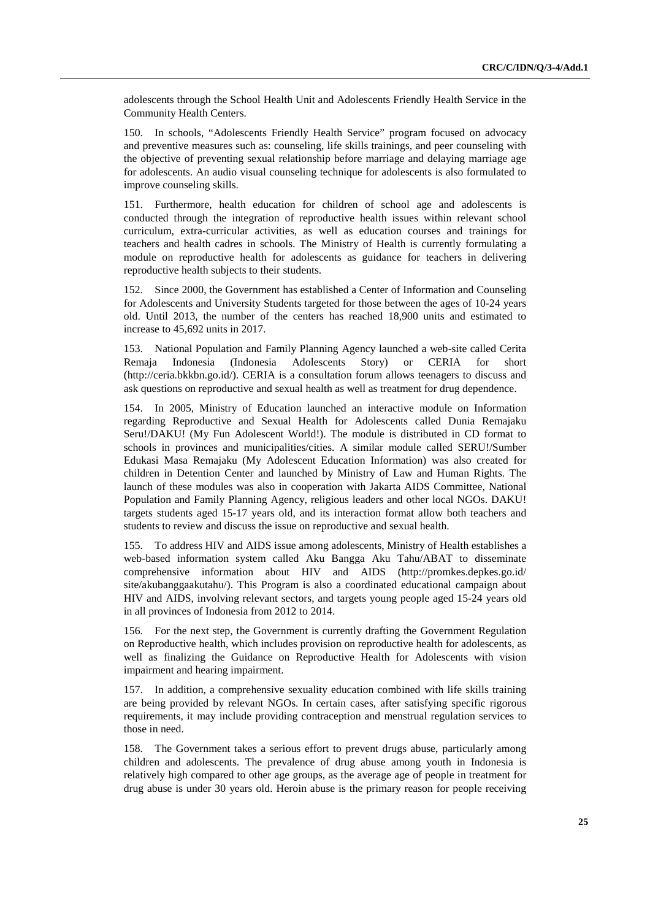adolescents through the School Health Unit and Adolescents Friendly Health Service in the Community Health Centers.

150. In schools, "Adolescents Friendly Health Service" program focused on advocacy and preventive measures such as: counseling, life skills trainings, and peer counseling with the objective of preventing sexual relationship before marriage and delaying marriage age for adolescents. An audio visual counseling technique for adolescents is also formulated to improve counseling skills.

151. Furthermore, health education for children of school age and adolescents is conducted through the integration of reproductive health issues within relevant school curriculum, extra-curricular activities, as well as education courses and trainings for teachers and health cadres in schools. The Ministry of Health is currently formulating a module on reproductive health for adolescents as guidance for teachers in delivering reproductive health subjects to their students.

152. Since 2000, the Government has established a Center of Information and Counseling for Adolescents and University Students targeted for those between the ages of 10-24 years old. Until 2013, the number of the centers has reached 18,900 units and estimated to increase to 45,692 units in 2017.

153. National Population and Family Planning Agency launched a web-site called Cerita Remaja Indonesia (Indonesia Adolescents Story) or CERIA for short (http://ceria.bkkbn.go.id/). CERIA is a consultation forum allows teenagers to discuss and ask questions on reproductive and sexual health as well as treatment for drug dependence.

154. In 2005, Ministry of Education launched an interactive module on Information regarding Reproductive and Sexual Health for Adolescents called Dunia Remajaku Seru!/DAKU! (My Fun Adolescent World!). The module is distributed in CD format to schools in provinces and municipalities/cities. A similar module called SERU!/Sumber Edukasi Masa Remajaku (My Adolescent Education Information) was also created for children in Detention Center and launched by Ministry of Law and Human Rights. The launch of these modules was also in cooperation with Jakarta AIDS Committee, National Population and Family Planning Agency, religious leaders and other local NGOs. DAKU! targets students aged 15-17 years old, and its interaction format allow both teachers and students to review and discuss the issue on reproductive and sexual health.

155. To address HIV and AIDS issue among adolescents, Ministry of Health establishes a web-based information system called Aku Bangga Aku Tahu/ABAT to disseminate comprehensive information about HIV and AIDS (http://promkes.depkes.go.id/ site/akubanggaakutahu/). This Program is also a coordinated educational campaign about HIV and AIDS, involving relevant sectors, and targets young people aged 15-24 years old in all provinces of Indonesia from 2012 to 2014.

156. For the next step, the Government is currently drafting the Government Regulation on Reproductive health, which includes provision on reproductive health for adolescents, as well as finalizing the Guidance on Reproductive Health for Adolescents with vision impairment and hearing impairment.

157. In addition, a comprehensive sexuality education combined with life skills training are being provided by relevant NGOs. In certain cases, after satisfying specific rigorous requirements, it may include providing contraception and menstrual regulation services to those in need.

158. The Government takes a serious effort to prevent drugs abuse, particularly among children and adolescents. The prevalence of drug abuse among youth in Indonesia is relatively high compared to other age groups, as the average age of people in treatment for drug abuse is under 30 years old. Heroin abuse is the primary reason for people receiving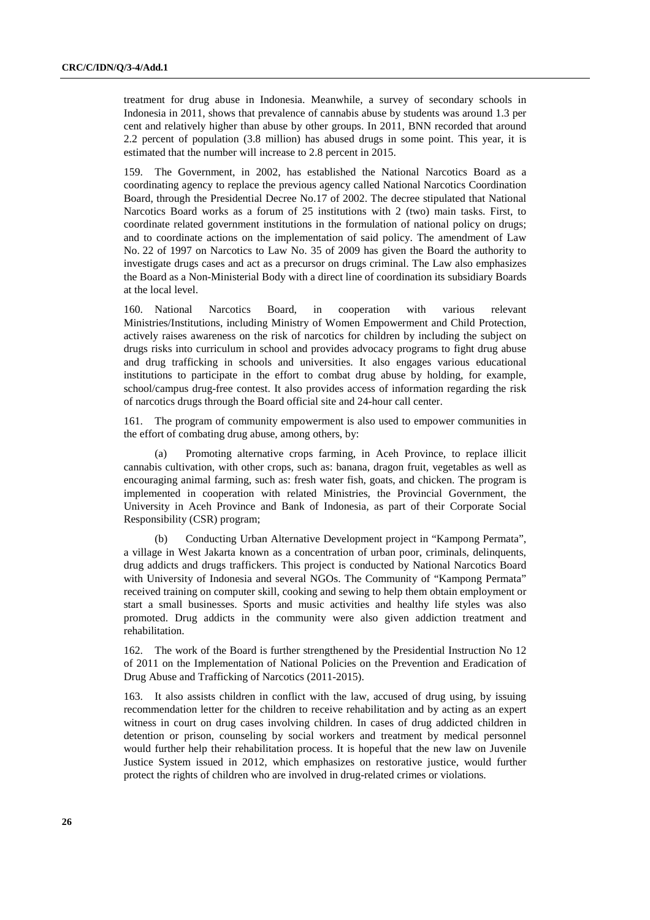treatment for drug abuse in Indonesia. Meanwhile, a survey of secondary schools in Indonesia in 2011, shows that prevalence of cannabis abuse by students was around 1.3 per cent and relatively higher than abuse by other groups. In 2011, BNN recorded that around 2.2 percent of population (3.8 million) has abused drugs in some point. This year, it is estimated that the number will increase to 2.8 percent in 2015.

159. The Government, in 2002, has established the National Narcotics Board as a coordinating agency to replace the previous agency called National Narcotics Coordination Board, through the Presidential Decree No.17 of 2002. The decree stipulated that National Narcotics Board works as a forum of 25 institutions with 2 (two) main tasks. First, to coordinate related government institutions in the formulation of national policy on drugs; and to coordinate actions on the implementation of said policy. The amendment of Law No. 22 of 1997 on Narcotics to Law No. 35 of 2009 has given the Board the authority to investigate drugs cases and act as a precursor on drugs criminal. The Law also emphasizes the Board as a Non-Ministerial Body with a direct line of coordination its subsidiary Boards at the local level.

160. National Narcotics Board, in cooperation with various relevant Ministries/Institutions, including Ministry of Women Empowerment and Child Protection, actively raises awareness on the risk of narcotics for children by including the subject on drugs risks into curriculum in school and provides advocacy programs to fight drug abuse and drug trafficking in schools and universities. It also engages various educational institutions to participate in the effort to combat drug abuse by holding, for example, school/campus drug-free contest. It also provides access of information regarding the risk of narcotics drugs through the Board official site and 24-hour call center.

161. The program of community empowerment is also used to empower communities in the effort of combating drug abuse, among others, by:

(a) Promoting alternative crops farming, in Aceh Province, to replace illicit cannabis cultivation, with other crops, such as: banana, dragon fruit, vegetables as well as encouraging animal farming, such as: fresh water fish, goats, and chicken. The program is implemented in cooperation with related Ministries, the Provincial Government, the University in Aceh Province and Bank of Indonesia, as part of their Corporate Social Responsibility (CSR) program;

(b) Conducting Urban Alternative Development project in "Kampong Permata", a village in West Jakarta known as a concentration of urban poor, criminals, delinquents, drug addicts and drugs traffickers. This project is conducted by National Narcotics Board with University of Indonesia and several NGOs. The Community of "Kampong Permata" received training on computer skill, cooking and sewing to help them obtain employment or start a small businesses. Sports and music activities and healthy life styles was also promoted. Drug addicts in the community were also given addiction treatment and rehabilitation.

162. The work of the Board is further strengthened by the Presidential Instruction No 12 of 2011 on the Implementation of National Policies on the Prevention and Eradication of Drug Abuse and Trafficking of Narcotics (2011-2015).

163. It also assists children in conflict with the law, accused of drug using, by issuing recommendation letter for the children to receive rehabilitation and by acting as an expert witness in court on drug cases involving children. In cases of drug addicted children in detention or prison, counseling by social workers and treatment by medical personnel would further help their rehabilitation process. It is hopeful that the new law on Juvenile Justice System issued in 2012, which emphasizes on restorative justice, would further protect the rights of children who are involved in drug-related crimes or violations.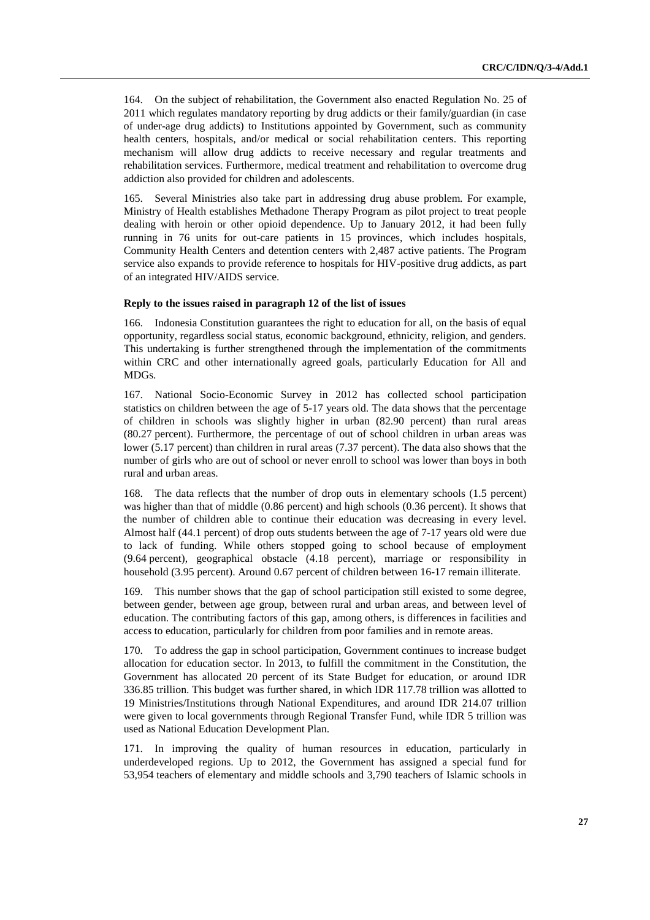164. On the subject of rehabilitation, the Government also enacted Regulation No. 25 of 2011 which regulates mandatory reporting by drug addicts or their family/guardian (in case of under-age drug addicts) to Institutions appointed by Government, such as community health centers, hospitals, and/or medical or social rehabilitation centers. This reporting mechanism will allow drug addicts to receive necessary and regular treatments and rehabilitation services. Furthermore, medical treatment and rehabilitation to overcome drug addiction also provided for children and adolescents.

165. Several Ministries also take part in addressing drug abuse problem. For example, Ministry of Health establishes Methadone Therapy Program as pilot project to treat people dealing with heroin or other opioid dependence. Up to January 2012, it had been fully running in 76 units for out-care patients in 15 provinces, which includes hospitals, Community Health Centers and detention centers with 2,487 active patients. The Program service also expands to provide reference to hospitals for HIV-positive drug addicts, as part of an integrated HIV/AIDS service.

#### **Reply to the issues raised in paragraph 12 of the list of issues**

166. Indonesia Constitution guarantees the right to education for all, on the basis of equal opportunity, regardless social status, economic background, ethnicity, religion, and genders. This undertaking is further strengthened through the implementation of the commitments within CRC and other internationally agreed goals, particularly Education for All and MDGs.

167. National Socio-Economic Survey in 2012 has collected school participation statistics on children between the age of 5-17 years old. The data shows that the percentage of children in schools was slightly higher in urban (82.90 percent) than rural areas (80.27 percent). Furthermore, the percentage of out of school children in urban areas was lower (5.17 percent) than children in rural areas (7.37 percent). The data also shows that the number of girls who are out of school or never enroll to school was lower than boys in both rural and urban areas.

168. The data reflects that the number of drop outs in elementary schools (1.5 percent) was higher than that of middle (0.86 percent) and high schools (0.36 percent). It shows that the number of children able to continue their education was decreasing in every level. Almost half (44.1 percent) of drop outs students between the age of 7-17 years old were due to lack of funding. While others stopped going to school because of employment (9.64 percent), geographical obstacle (4.18 percent), marriage or responsibility in household (3.95 percent). Around 0.67 percent of children between 16-17 remain illiterate.

169. This number shows that the gap of school participation still existed to some degree, between gender, between age group, between rural and urban areas, and between level of education. The contributing factors of this gap, among others, is differences in facilities and access to education, particularly for children from poor families and in remote areas.

170. To address the gap in school participation, Government continues to increase budget allocation for education sector. In 2013, to fulfill the commitment in the Constitution, the Government has allocated 20 percent of its State Budget for education, or around IDR 336.85 trillion. This budget was further shared, in which IDR 117.78 trillion was allotted to 19 Ministries/Institutions through National Expenditures, and around IDR 214.07 trillion were given to local governments through Regional Transfer Fund, while IDR 5 trillion was used as National Education Development Plan.

171. In improving the quality of human resources in education, particularly in underdeveloped regions. Up to 2012, the Government has assigned a special fund for 53,954 teachers of elementary and middle schools and 3,790 teachers of Islamic schools in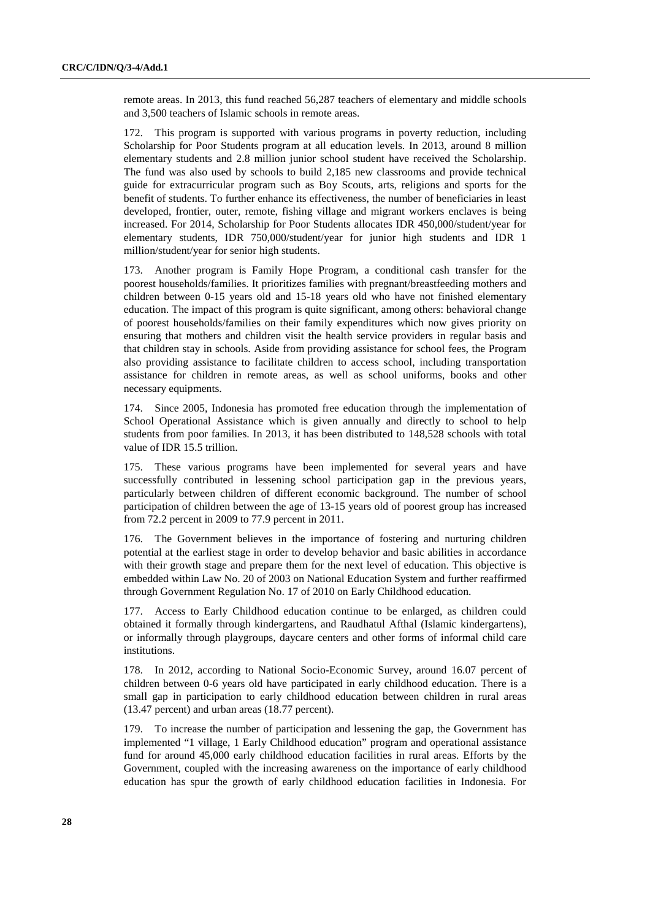remote areas. In 2013, this fund reached 56,287 teachers of elementary and middle schools and 3,500 teachers of Islamic schools in remote areas.

172. This program is supported with various programs in poverty reduction, including Scholarship for Poor Students program at all education levels. In 2013, around 8 million elementary students and 2.8 million junior school student have received the Scholarship. The fund was also used by schools to build 2,185 new classrooms and provide technical guide for extracurricular program such as Boy Scouts, arts, religions and sports for the benefit of students. To further enhance its effectiveness, the number of beneficiaries in least developed, frontier, outer, remote, fishing village and migrant workers enclaves is being increased. For 2014, Scholarship for Poor Students allocates IDR 450,000/student/year for elementary students, IDR 750,000/student/year for junior high students and IDR 1 million/student/year for senior high students.

173. Another program is Family Hope Program, a conditional cash transfer for the poorest households/families. It prioritizes families with pregnant/breastfeeding mothers and children between 0-15 years old and 15-18 years old who have not finished elementary education. The impact of this program is quite significant, among others: behavioral change of poorest households/families on their family expenditures which now gives priority on ensuring that mothers and children visit the health service providers in regular basis and that children stay in schools. Aside from providing assistance for school fees, the Program also providing assistance to facilitate children to access school, including transportation assistance for children in remote areas, as well as school uniforms, books and other necessary equipments.

174. Since 2005, Indonesia has promoted free education through the implementation of School Operational Assistance which is given annually and directly to school to help students from poor families. In 2013, it has been distributed to 148,528 schools with total value of IDR 15.5 trillion.

175. These various programs have been implemented for several years and have successfully contributed in lessening school participation gap in the previous years, particularly between children of different economic background. The number of school participation of children between the age of 13-15 years old of poorest group has increased from 72.2 percent in 2009 to 77.9 percent in 2011.

176. The Government believes in the importance of fostering and nurturing children potential at the earliest stage in order to develop behavior and basic abilities in accordance with their growth stage and prepare them for the next level of education. This objective is embedded within Law No. 20 of 2003 on National Education System and further reaffirmed through Government Regulation No. 17 of 2010 on Early Childhood education.

177. Access to Early Childhood education continue to be enlarged, as children could obtained it formally through kindergartens, and Raudhatul Afthal (Islamic kindergartens), or informally through playgroups, daycare centers and other forms of informal child care institutions.

178. In 2012, according to National Socio-Economic Survey, around 16.07 percent of children between 0-6 years old have participated in early childhood education. There is a small gap in participation to early childhood education between children in rural areas (13.47 percent) and urban areas (18.77 percent).

179. To increase the number of participation and lessening the gap, the Government has implemented "1 village, 1 Early Childhood education" program and operational assistance fund for around 45,000 early childhood education facilities in rural areas. Efforts by the Government, coupled with the increasing awareness on the importance of early childhood education has spur the growth of early childhood education facilities in Indonesia. For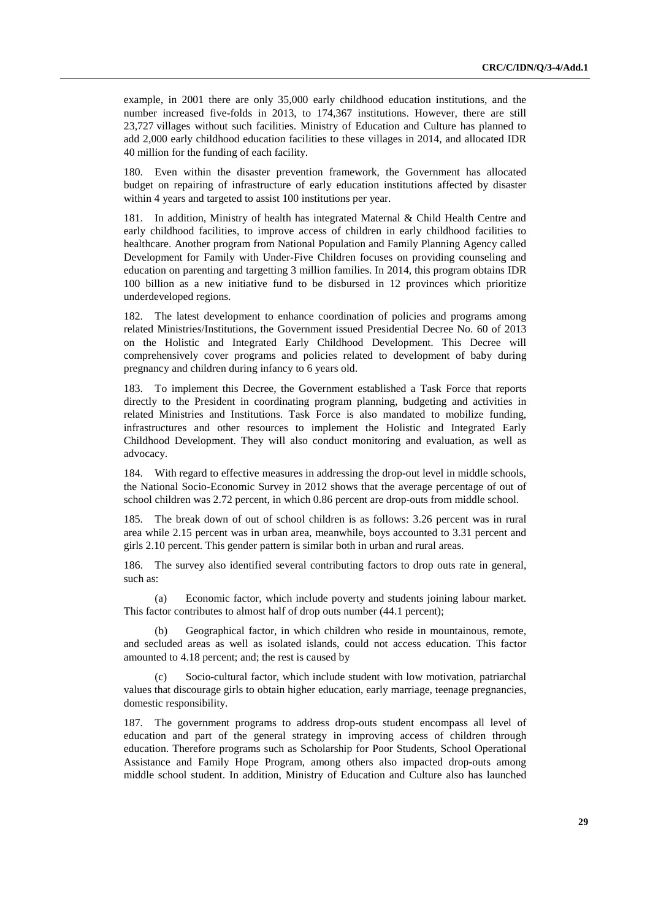example, in 2001 there are only 35,000 early childhood education institutions, and the number increased five-folds in 2013, to 174,367 institutions. However, there are still 23,727 villages without such facilities. Ministry of Education and Culture has planned to add 2,000 early childhood education facilities to these villages in 2014, and allocated IDR 40 million for the funding of each facility.

Even within the disaster prevention framework, the Government has allocated budget on repairing of infrastructure of early education institutions affected by disaster within 4 years and targeted to assist 100 institutions per year.

181. In addition, Ministry of health has integrated Maternal & Child Health Centre and early childhood facilities, to improve access of children in early childhood facilities to healthcare. Another program from National Population and Family Planning Agency called Development for Family with Under-Five Children focuses on providing counseling and education on parenting and targetting 3 million families. In 2014, this program obtains IDR 100 billion as a new initiative fund to be disbursed in 12 provinces which prioritize underdeveloped regions.

182. The latest development to enhance coordination of policies and programs among related Ministries/Institutions, the Government issued Presidential Decree No. 60 of 2013 on the Holistic and Integrated Early Childhood Development. This Decree will comprehensively cover programs and policies related to development of baby during pregnancy and children during infancy to 6 years old.

183. To implement this Decree, the Government established a Task Force that reports directly to the President in coordinating program planning, budgeting and activities in related Ministries and Institutions. Task Force is also mandated to mobilize funding, infrastructures and other resources to implement the Holistic and Integrated Early Childhood Development. They will also conduct monitoring and evaluation, as well as advocacy.

184. With regard to effective measures in addressing the drop-out level in middle schools, the National Socio-Economic Survey in 2012 shows that the average percentage of out of school children was 2.72 percent, in which 0.86 percent are drop-outs from middle school.

185. The break down of out of school children is as follows: 3.26 percent was in rural area while 2.15 percent was in urban area, meanwhile, boys accounted to 3.31 percent and girls 2.10 percent. This gender pattern is similar both in urban and rural areas.

186. The survey also identified several contributing factors to drop outs rate in general, such as:

(a) Economic factor, which include poverty and students joining labour market. This factor contributes to almost half of drop outs number (44.1 percent);

Geographical factor, in which children who reside in mountainous, remote, and secluded areas as well as isolated islands, could not access education. This factor amounted to 4.18 percent; and; the rest is caused by

Socio-cultural factor, which include student with low motivation, patriarchal values that discourage girls to obtain higher education, early marriage, teenage pregnancies, domestic responsibility.

187. The government programs to address drop-outs student encompass all level of education and part of the general strategy in improving access of children through education. Therefore programs such as Scholarship for Poor Students, School Operational Assistance and Family Hope Program, among others also impacted drop-outs among middle school student. In addition, Ministry of Education and Culture also has launched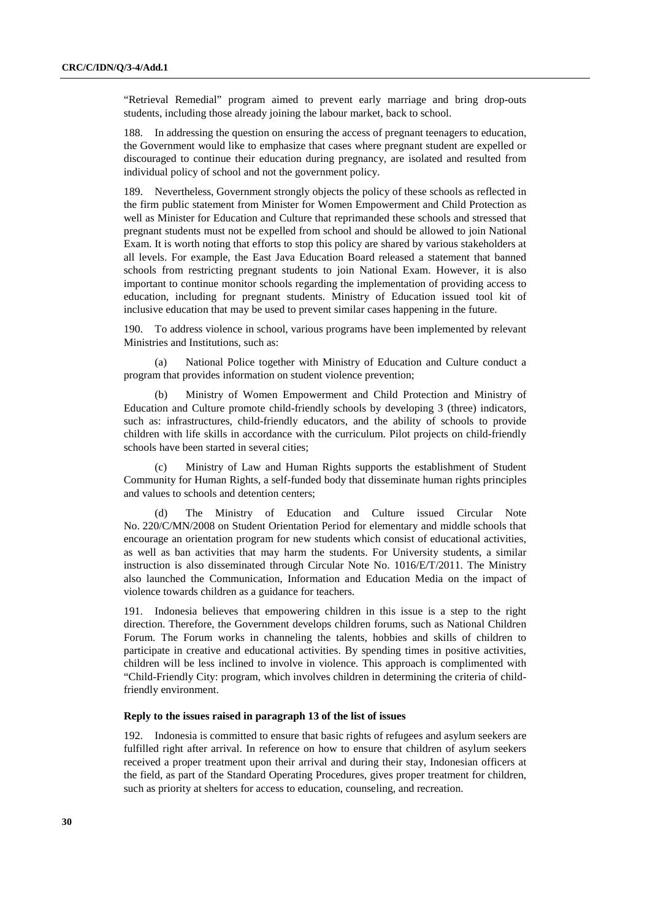"Retrieval Remedial" program aimed to prevent early marriage and bring drop-outs students, including those already joining the labour market, back to school.

188. In addressing the question on ensuring the access of pregnant teenagers to education, the Government would like to emphasize that cases where pregnant student are expelled or discouraged to continue their education during pregnancy, are isolated and resulted from individual policy of school and not the government policy.

189. Nevertheless, Government strongly objects the policy of these schools as reflected in the firm public statement from Minister for Women Empowerment and Child Protection as well as Minister for Education and Culture that reprimanded these schools and stressed that pregnant students must not be expelled from school and should be allowed to join National Exam. It is worth noting that efforts to stop this policy are shared by various stakeholders at all levels. For example, the East Java Education Board released a statement that banned schools from restricting pregnant students to join National Exam. However, it is also important to continue monitor schools regarding the implementation of providing access to education, including for pregnant students. Ministry of Education issued tool kit of inclusive education that may be used to prevent similar cases happening in the future.

190. To address violence in school, various programs have been implemented by relevant Ministries and Institutions, such as:

(a) National Police together with Ministry of Education and Culture conduct a program that provides information on student violence prevention;

(b) Ministry of Women Empowerment and Child Protection and Ministry of Education and Culture promote child-friendly schools by developing 3 (three) indicators, such as: infrastructures, child-friendly educators, and the ability of schools to provide children with life skills in accordance with the curriculum. Pilot projects on child-friendly schools have been started in several cities;

(c) Ministry of Law and Human Rights supports the establishment of Student Community for Human Rights, a self-funded body that disseminate human rights principles and values to schools and detention centers;

(d) The Ministry of Education and Culture issued Circular Note No. 220/C/MN/2008 on Student Orientation Period for elementary and middle schools that encourage an orientation program for new students which consist of educational activities, as well as ban activities that may harm the students. For University students, a similar instruction is also disseminated through Circular Note No. 1016/E/T/2011. The Ministry also launched the Communication, Information and Education Media on the impact of violence towards children as a guidance for teachers.

191. Indonesia believes that empowering children in this issue is a step to the right direction. Therefore, the Government develops children forums, such as National Children Forum. The Forum works in channeling the talents, hobbies and skills of children to participate in creative and educational activities. By spending times in positive activities, children will be less inclined to involve in violence. This approach is complimented with "Child-Friendly City: program, which involves children in determining the criteria of childfriendly environment.

#### **Reply to the issues raised in paragraph 13 of the list of issues**

192. Indonesia is committed to ensure that basic rights of refugees and asylum seekers are fulfilled right after arrival. In reference on how to ensure that children of asylum seekers received a proper treatment upon their arrival and during their stay, Indonesian officers at the field, as part of the Standard Operating Procedures, gives proper treatment for children, such as priority at shelters for access to education, counseling, and recreation.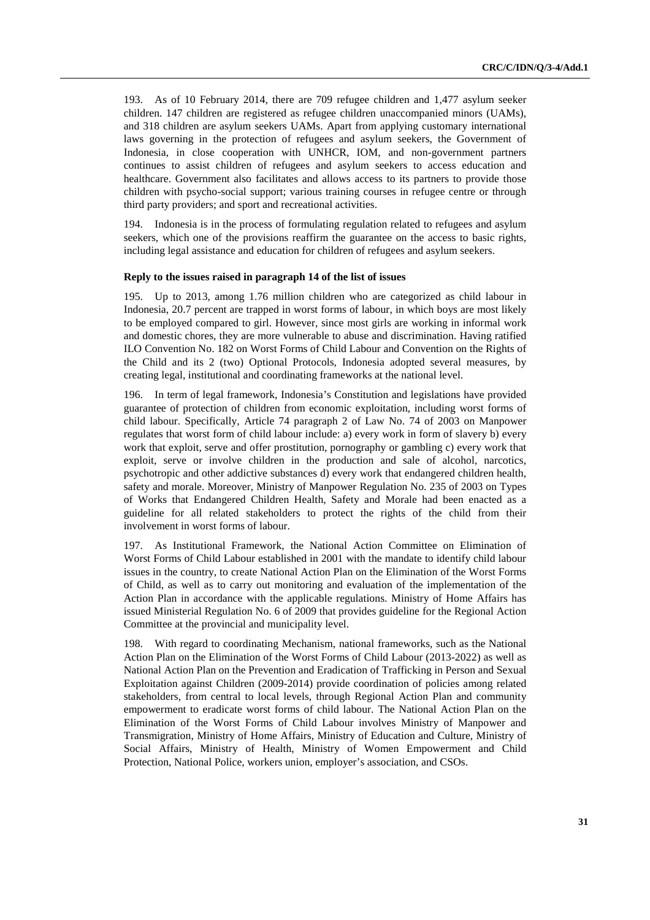193. As of 10 February 2014, there are 709 refugee children and 1,477 asylum seeker children. 147 children are registered as refugee children unaccompanied minors (UAMs), and 318 children are asylum seekers UAMs. Apart from applying customary international laws governing in the protection of refugees and asylum seekers, the Government of Indonesia, in close cooperation with UNHCR, IOM, and non-government partners continues to assist children of refugees and asylum seekers to access education and healthcare. Government also facilitates and allows access to its partners to provide those children with psycho-social support; various training courses in refugee centre or through third party providers; and sport and recreational activities.

194. Indonesia is in the process of formulating regulation related to refugees and asylum seekers, which one of the provisions reaffirm the guarantee on the access to basic rights, including legal assistance and education for children of refugees and asylum seekers.

#### **Reply to the issues raised in paragraph 14 of the list of issues**

195. Up to 2013, among 1.76 million children who are categorized as child labour in Indonesia, 20.7 percent are trapped in worst forms of labour, in which boys are most likely to be employed compared to girl. However, since most girls are working in informal work and domestic chores, they are more vulnerable to abuse and discrimination. Having ratified ILO Convention No. 182 on Worst Forms of Child Labour and Convention on the Rights of the Child and its 2 (two) Optional Protocols, Indonesia adopted several measures, by creating legal, institutional and coordinating frameworks at the national level.

196. In term of legal framework, Indonesia's Constitution and legislations have provided guarantee of protection of children from economic exploitation, including worst forms of child labour. Specifically, Article 74 paragraph 2 of Law No. 74 of 2003 on Manpower regulates that worst form of child labour include: a) every work in form of slavery b) every work that exploit, serve and offer prostitution, pornography or gambling c) every work that exploit, serve or involve children in the production and sale of alcohol, narcotics, psychotropic and other addictive substances d) every work that endangered children health, safety and morale. Moreover, Ministry of Manpower Regulation No. 235 of 2003 on Types of Works that Endangered Children Health, Safety and Morale had been enacted as a guideline for all related stakeholders to protect the rights of the child from their involvement in worst forms of labour.

197. As Institutional Framework, the National Action Committee on Elimination of Worst Forms of Child Labour established in 2001 with the mandate to identify child labour issues in the country, to create National Action Plan on the Elimination of the Worst Forms of Child, as well as to carry out monitoring and evaluation of the implementation of the Action Plan in accordance with the applicable regulations. Ministry of Home Affairs has issued Ministerial Regulation No. 6 of 2009 that provides guideline for the Regional Action Committee at the provincial and municipality level.

198. With regard to coordinating Mechanism, national frameworks, such as the National Action Plan on the Elimination of the Worst Forms of Child Labour (2013-2022) as well as National Action Plan on the Prevention and Eradication of Trafficking in Person and Sexual Exploitation against Children (2009-2014) provide coordination of policies among related stakeholders, from central to local levels, through Regional Action Plan and community empowerment to eradicate worst forms of child labour. The National Action Plan on the Elimination of the Worst Forms of Child Labour involves Ministry of Manpower and Transmigration, Ministry of Home Affairs, Ministry of Education and Culture, Ministry of Social Affairs, Ministry of Health, Ministry of Women Empowerment and Child Protection, National Police, workers union, employer's association, and CSOs.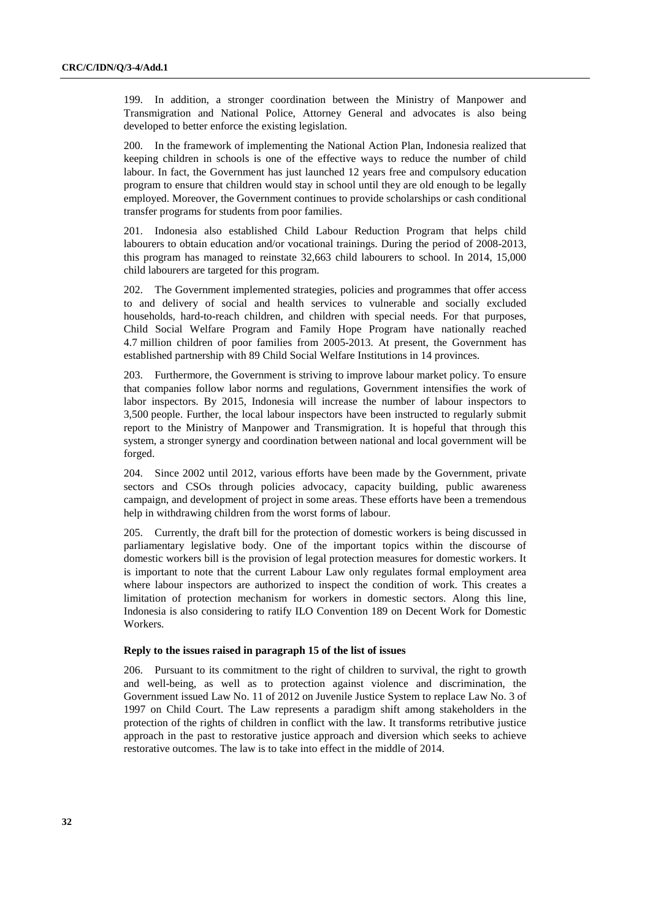199. In addition, a stronger coordination between the Ministry of Manpower and Transmigration and National Police, Attorney General and advocates is also being developed to better enforce the existing legislation.

200. In the framework of implementing the National Action Plan, Indonesia realized that keeping children in schools is one of the effective ways to reduce the number of child labour. In fact, the Government has just launched 12 years free and compulsory education program to ensure that children would stay in school until they are old enough to be legally employed. Moreover, the Government continues to provide scholarships or cash conditional transfer programs for students from poor families.

201. Indonesia also established Child Labour Reduction Program that helps child labourers to obtain education and/or vocational trainings. During the period of 2008-2013, this program has managed to reinstate 32,663 child labourers to school. In 2014, 15,000 child labourers are targeted for this program.

202. The Government implemented strategies, policies and programmes that offer access to and delivery of social and health services to vulnerable and socially excluded households, hard-to-reach children, and children with special needs. For that purposes, Child Social Welfare Program and Family Hope Program have nationally reached 4.7 million children of poor families from 2005-2013. At present, the Government has established partnership with 89 Child Social Welfare Institutions in 14 provinces.

203. Furthermore, the Government is striving to improve labour market policy. To ensure that companies follow labor norms and regulations, Government intensifies the work of labor inspectors. By 2015, Indonesia will increase the number of labour inspectors to 3,500 people. Further, the local labour inspectors have been instructed to regularly submit report to the Ministry of Manpower and Transmigration. It is hopeful that through this system, a stronger synergy and coordination between national and local government will be forged.

204. Since 2002 until 2012, various efforts have been made by the Government, private sectors and CSOs through policies advocacy, capacity building, public awareness campaign, and development of project in some areas. These efforts have been a tremendous help in withdrawing children from the worst forms of labour.

205. Currently, the draft bill for the protection of domestic workers is being discussed in parliamentary legislative body. One of the important topics within the discourse of domestic workers bill is the provision of legal protection measures for domestic workers. It is important to note that the current Labour Law only regulates formal employment area where labour inspectors are authorized to inspect the condition of work. This creates a limitation of protection mechanism for workers in domestic sectors. Along this line, Indonesia is also considering to ratify ILO Convention 189 on Decent Work for Domestic Workers.

#### **Reply to the issues raised in paragraph 15 of the list of issues**

206. Pursuant to its commitment to the right of children to survival, the right to growth and well-being, as well as to protection against violence and discrimination, the Government issued Law No. 11 of 2012 on Juvenile Justice System to replace Law No. 3 of 1997 on Child Court. The Law represents a paradigm shift among stakeholders in the protection of the rights of children in conflict with the law. It transforms retributive justice approach in the past to restorative justice approach and diversion which seeks to achieve restorative outcomes. The law is to take into effect in the middle of 2014.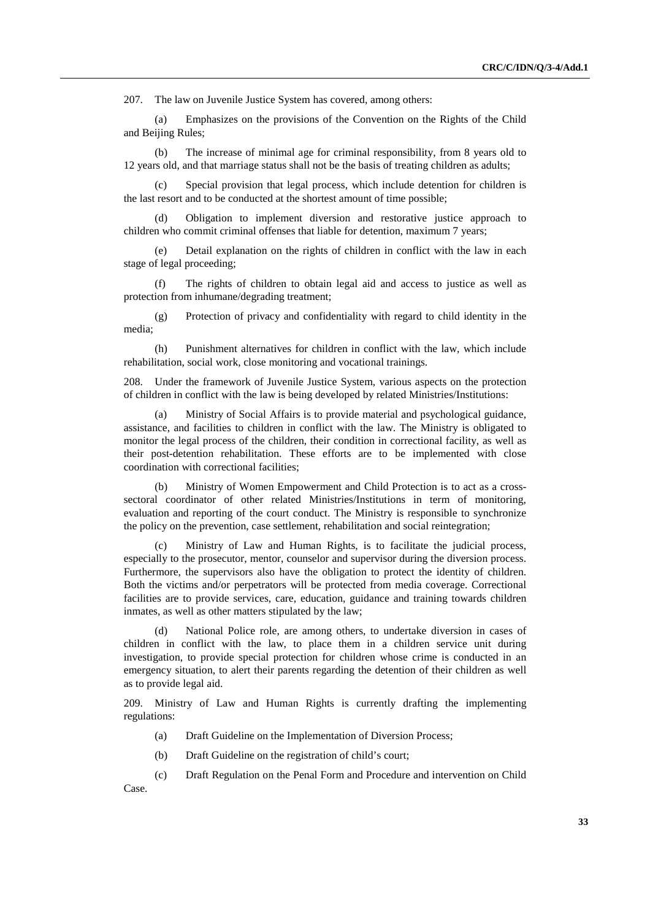207. The law on Juvenile Justice System has covered, among others:

(a) Emphasizes on the provisions of the Convention on the Rights of the Child and Beijing Rules;

(b) The increase of minimal age for criminal responsibility, from 8 years old to 12 years old, and that marriage status shall not be the basis of treating children as adults;

(c) Special provision that legal process, which include detention for children is the last resort and to be conducted at the shortest amount of time possible;

(d) Obligation to implement diversion and restorative justice approach to children who commit criminal offenses that liable for detention, maximum 7 years;

(e) Detail explanation on the rights of children in conflict with the law in each stage of legal proceeding;

(f) The rights of children to obtain legal aid and access to justice as well as protection from inhumane/degrading treatment;

(g) Protection of privacy and confidentiality with regard to child identity in the media;

(h) Punishment alternatives for children in conflict with the law, which include rehabilitation, social work, close monitoring and vocational trainings.

208. Under the framework of Juvenile Justice System, various aspects on the protection of children in conflict with the law is being developed by related Ministries/Institutions:

Ministry of Social Affairs is to provide material and psychological guidance, assistance, and facilities to children in conflict with the law. The Ministry is obligated to monitor the legal process of the children, their condition in correctional facility, as well as their post-detention rehabilitation. These efforts are to be implemented with close coordination with correctional facilities;

(b) Ministry of Women Empowerment and Child Protection is to act as a crosssectoral coordinator of other related Ministries/Institutions in term of monitoring, evaluation and reporting of the court conduct. The Ministry is responsible to synchronize the policy on the prevention, case settlement, rehabilitation and social reintegration;

(c) Ministry of Law and Human Rights, is to facilitate the judicial process, especially to the prosecutor, mentor, counselor and supervisor during the diversion process. Furthermore, the supervisors also have the obligation to protect the identity of children. Both the victims and/or perpetrators will be protected from media coverage. Correctional facilities are to provide services, care, education, guidance and training towards children inmates, as well as other matters stipulated by the law;

(d) National Police role, are among others, to undertake diversion in cases of children in conflict with the law, to place them in a children service unit during investigation, to provide special protection for children whose crime is conducted in an emergency situation, to alert their parents regarding the detention of their children as well as to provide legal aid.

209. Ministry of Law and Human Rights is currently drafting the implementing regulations:

- (a) Draft Guideline on the Implementation of Diversion Process;
- (b) Draft Guideline on the registration of child's court;
- (c) Draft Regulation on the Penal Form and Procedure and intervention on Child Case.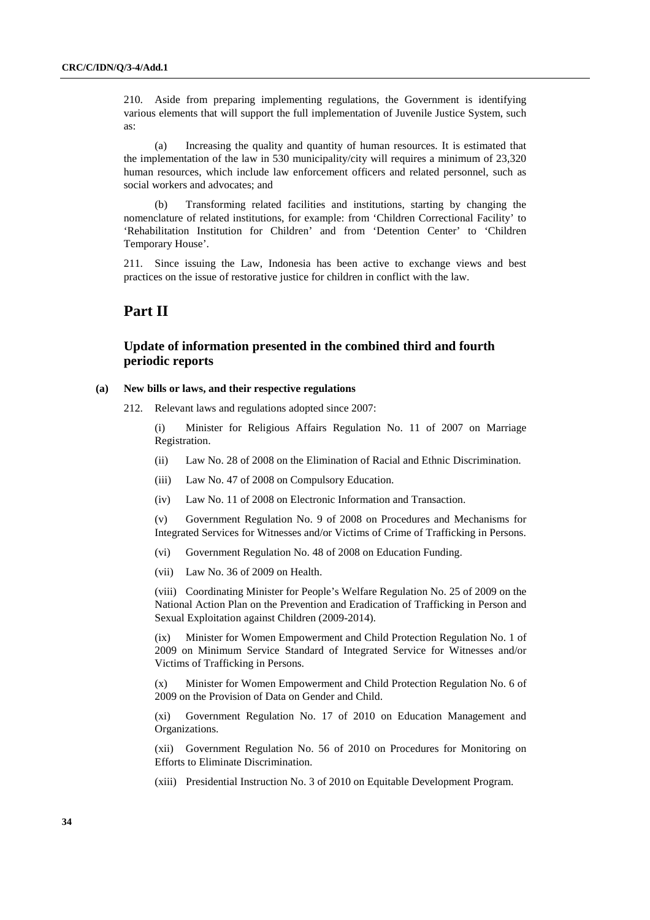210. Aside from preparing implementing regulations, the Government is identifying various elements that will support the full implementation of Juvenile Justice System, such as:

(a) Increasing the quality and quantity of human resources. It is estimated that the implementation of the law in 530 municipality/city will requires a minimum of 23,320 human resources, which include law enforcement officers and related personnel, such as social workers and advocates; and

(b) Transforming related facilities and institutions, starting by changing the nomenclature of related institutions, for example: from 'Children Correctional Facility' to 'Rehabilitation Institution for Children' and from 'Detention Center' to 'Children Temporary House'.

211. Since issuing the Law, Indonesia has been active to exchange views and best practices on the issue of restorative justice for children in conflict with the law.

## **Part II**

### **Update of information presented in the combined third and fourth periodic reports**

#### **(a) New bills or laws, and their respective regulations**

212. Relevant laws and regulations adopted since 2007:

(i) Minister for Religious Affairs Regulation No. 11 of 2007 on Marriage Registration.

- (ii) Law No. 28 of 2008 on the Elimination of Racial and Ethnic Discrimination.
- (iii) Law No. 47 of 2008 on Compulsory Education.
- (iv) Law No. 11 of 2008 on Electronic Information and Transaction.

(v) Government Regulation No. 9 of 2008 on Procedures and Mechanisms for Integrated Services for Witnesses and/or Victims of Crime of Trafficking in Persons.

- (vi) Government Regulation No. 48 of 2008 on Education Funding.
- (vii) Law No. 36 of 2009 on Health.

(viii) Coordinating Minister for People's Welfare Regulation No. 25 of 2009 on the National Action Plan on the Prevention and Eradication of Trafficking in Person and Sexual Exploitation against Children (2009-2014).

(ix) Minister for Women Empowerment and Child Protection Regulation No. 1 of 2009 on Minimum Service Standard of Integrated Service for Witnesses and/or Victims of Trafficking in Persons.

(x) Minister for Women Empowerment and Child Protection Regulation No. 6 of 2009 on the Provision of Data on Gender and Child.

(xi) Government Regulation No. 17 of 2010 on Education Management and Organizations.

(xii) Government Regulation No. 56 of 2010 on Procedures for Monitoring on Efforts to Eliminate Discrimination.

(xiii) Presidential Instruction No. 3 of 2010 on Equitable Development Program.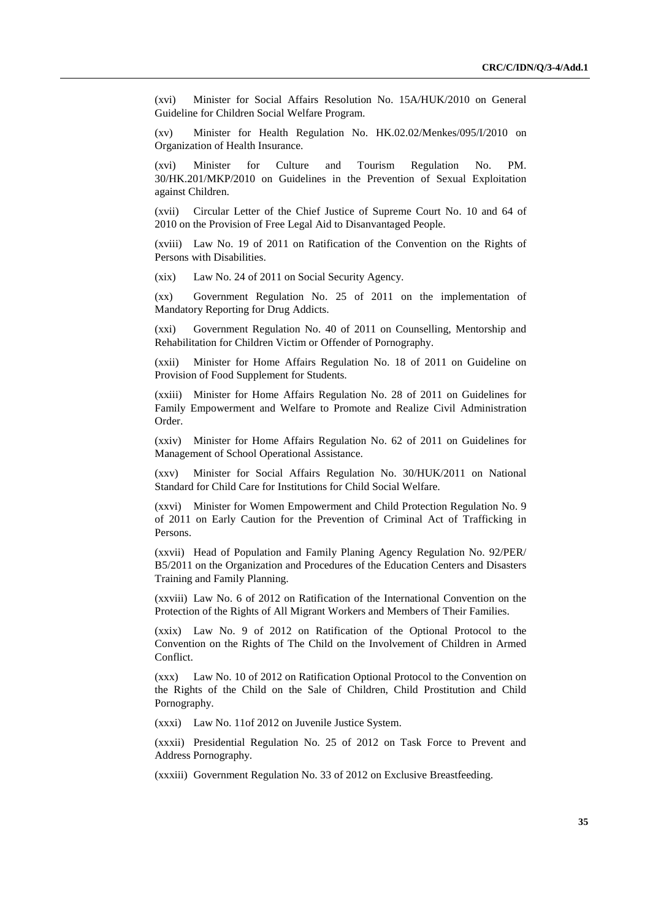(xvi) Minister for Social Affairs Resolution No. 15A/HUK/2010 on General Guideline for Children Social Welfare Program.

(xv) Minister for Health Regulation No. HK.02.02/Menkes/095/I/2010 on Organization of Health Insurance.

(xvi) Minister for Culture and Tourism Regulation No. PM. 30/HK.201/MKP/2010 on Guidelines in the Prevention of Sexual Exploitation against Children.

(xvii) Circular Letter of the Chief Justice of Supreme Court No. 10 and 64 of 2010 on the Provision of Free Legal Aid to Disanvantaged People.

(xviii) Law No. 19 of 2011 on Ratification of the Convention on the Rights of Persons with Disabilities.

(xix) Law No. 24 of 2011 on Social Security Agency.

(xx) Government Regulation No. 25 of 2011 on the implementation of Mandatory Reporting for Drug Addicts.

(xxi) Government Regulation No. 40 of 2011 on Counselling, Mentorship and Rehabilitation for Children Victim or Offender of Pornography.

(xxii) Minister for Home Affairs Regulation No. 18 of 2011 on Guideline on Provision of Food Supplement for Students.

(xxiii) Minister for Home Affairs Regulation No. 28 of 2011 on Guidelines for Family Empowerment and Welfare to Promote and Realize Civil Administration Order.

(xxiv) Minister for Home Affairs Regulation No. 62 of 2011 on Guidelines for Management of School Operational Assistance.

(xxv) Minister for Social Affairs Regulation No. 30/HUK/2011 on National Standard for Child Care for Institutions for Child Social Welfare.

(xxvi) Minister for Women Empowerment and Child Protection Regulation No. 9 of 2011 on Early Caution for the Prevention of Criminal Act of Trafficking in Persons.

(xxvii) Head of Population and Family Planing Agency Regulation No. 92/PER/ B5/2011 on the Organization and Procedures of the Education Centers and Disasters Training and Family Planning.

(xxviii) Law No. 6 of 2012 on Ratification of the International Convention on the Protection of the Rights of All Migrant Workers and Members of Their Families.

(xxix) Law No. 9 of 2012 on Ratification of the Optional Protocol to the Convention on the Rights of The Child on the Involvement of Children in Armed Conflict.

(xxx) Law No. 10 of 2012 on Ratification Optional Protocol to the Convention on the Rights of the Child on the Sale of Children, Child Prostitution and Child Pornography.

(xxxi) Law No. 11of 2012 on Juvenile Justice System.

(xxxii) Presidential Regulation No. 25 of 2012 on Task Force to Prevent and Address Pornography.

(xxxiii) Government Regulation No. 33 of 2012 on Exclusive Breastfeeding.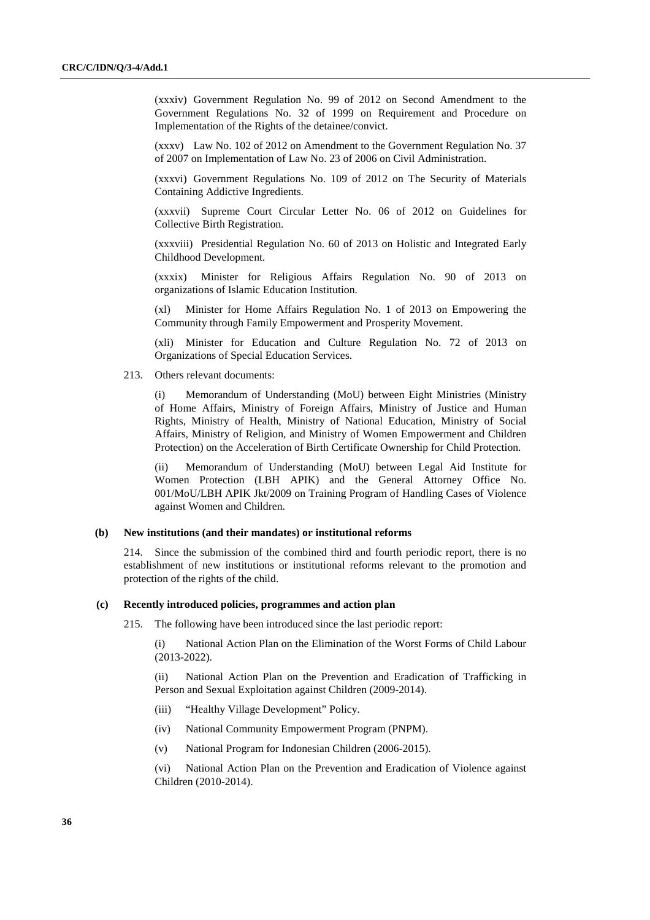(xxxiv) Government Regulation No. 99 of 2012 on Second Amendment to the Government Regulations No. 32 of 1999 on Requirement and Procedure on Implementation of the Rights of the detainee/convict.

(xxxv) Law No. 102 of 2012 on Amendment to the Government Regulation No. 37 of 2007 on Implementation of Law No. 23 of 2006 on Civil Administration.

(xxxvi) Government Regulations No. 109 of 2012 on The Security of Materials Containing Addictive Ingredients.

(xxxvii) Supreme Court Circular Letter No. 06 of 2012 on Guidelines for Collective Birth Registration.

(xxxviii) Presidential Regulation No. 60 of 2013 on Holistic and Integrated Early Childhood Development.

(xxxix) Minister for Religious Affairs Regulation No. 90 of 2013 on organizations of Islamic Education Institution.

Minister for Home Affairs Regulation No. 1 of 2013 on Empowering the Community through Family Empowerment and Prosperity Movement.

(xli) Minister for Education and Culture Regulation No. 72 of 2013 on Organizations of Special Education Services.

213. Others relevant documents:

(i) Memorandum of Understanding (MoU) between Eight Ministries (Ministry of Home Affairs, Ministry of Foreign Affairs, Ministry of Justice and Human Rights, Ministry of Health, Ministry of National Education, Ministry of Social Affairs, Ministry of Religion, and Ministry of Women Empowerment and Children Protection) on the Acceleration of Birth Certificate Ownership for Child Protection.

(ii) Memorandum of Understanding (MoU) between Legal Aid Institute for Women Protection (LBH APIK) and the General Attorney Office No. 001/MoU/LBH APIK Jkt/2009 on Training Program of Handling Cases of Violence against Women and Children.

#### **(b) New institutions (and their mandates) or institutional reforms**

214. Since the submission of the combined third and fourth periodic report, there is no establishment of new institutions or institutional reforms relevant to the promotion and protection of the rights of the child.

#### **(c) Recently introduced policies, programmes and action plan**

215. The following have been introduced since the last periodic report:

(i) National Action Plan on the Elimination of the Worst Forms of Child Labour (2013-2022).

(ii) National Action Plan on the Prevention and Eradication of Trafficking in Person and Sexual Exploitation against Children (2009-2014).

- (iii) "Healthy Village Development" Policy.
- (iv) National Community Empowerment Program (PNPM).
- (v) National Program for Indonesian Children (2006-2015).

(vi) National Action Plan on the Prevention and Eradication of Violence against Children (2010-2014).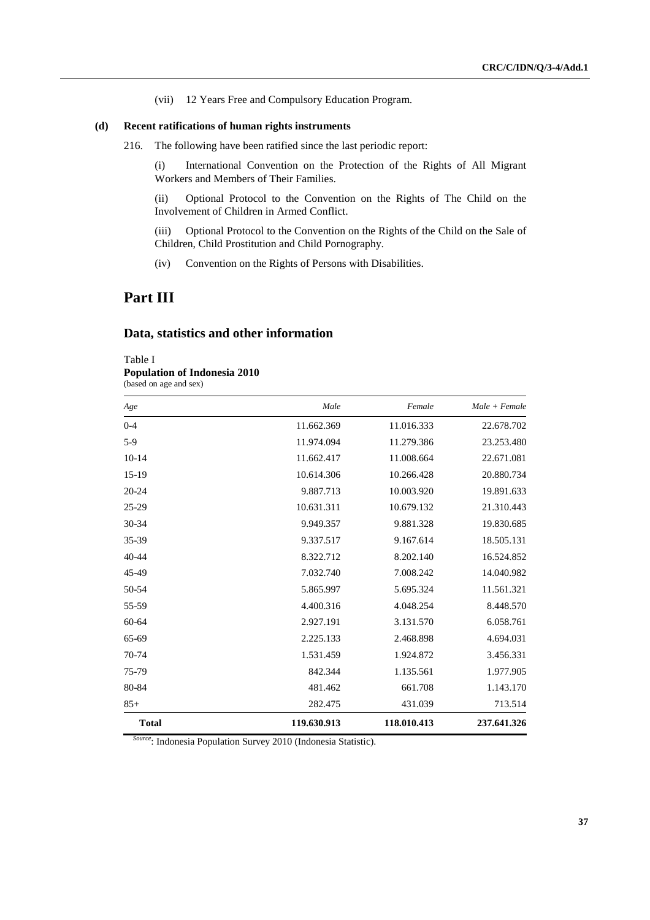(vii) 12 Years Free and Compulsory Education Program.

#### **(d) Recent ratifications of human rights instruments**

216. The following have been ratified since the last periodic report:

(i) International Convention on the Protection of the Rights of All Migrant Workers and Members of Their Families.

(ii) Optional Protocol to the Convention on the Rights of The Child on the Involvement of Children in Armed Conflict.

(iii) Optional Protocol to the Convention on the Rights of the Child on the Sale of Children, Child Prostitution and Child Pornography.

(iv) Convention on the Rights of Persons with Disabilities.

## **Part III**

### **Data, statistics and other information**

Table I

**Population of Indonesia 2010** 

(based on age and sex)

| Age          | Male        | Female      | $Male + Female$ |
|--------------|-------------|-------------|-----------------|
| $0 - 4$      | 11.662.369  | 11.016.333  | 22.678.702      |
| $5-9$        | 11.974.094  | 11.279.386  | 23.253.480      |
| $10-14$      | 11.662.417  | 11.008.664  | 22.671.081      |
| $15-19$      | 10.614.306  | 10.266.428  | 20.880.734      |
| $20 - 24$    | 9.887.713   | 10.003.920  | 19.891.633      |
| $25 - 29$    | 10.631.311  | 10.679.132  | 21.310.443      |
| 30-34        | 9.949.357   | 9.881.328   | 19.830.685      |
| 35-39        | 9.337.517   | 9.167.614   | 18.505.131      |
| $40 - 44$    | 8.322.712   | 8.202.140   | 16.524.852      |
| 45-49        | 7.032.740   | 7.008.242   | 14.040.982      |
| 50-54        | 5.865.997   | 5.695.324   | 11.561.321      |
| 55-59        | 4.400.316   | 4.048.254   | 8.448.570       |
| 60-64        | 2.927.191   | 3.131.570   | 6.058.761       |
| 65-69        | 2.225.133   | 2.468.898   | 4.694.031       |
| 70-74        | 1.531.459   | 1.924.872   | 3.456.331       |
| 75-79        | 842.344     | 1.135.561   | 1.977.905       |
| 80-84        | 481.462     | 661.708     | 1.143.170       |
| $85+$        | 282.475     | 431.039     | 713.514         |
| <b>Total</b> | 119.630.913 | 118.010.413 | 237.641.326     |

*Source*: Indonesia Population Survey 2010 (Indonesia Statistic).